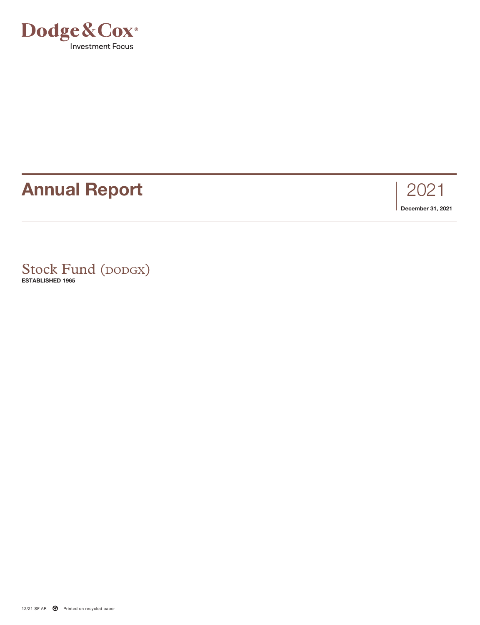

# **Annual Report**

# 2021

**December 31, 2021**

Stock Fund (DODGX) **ESTABLISHED 1965**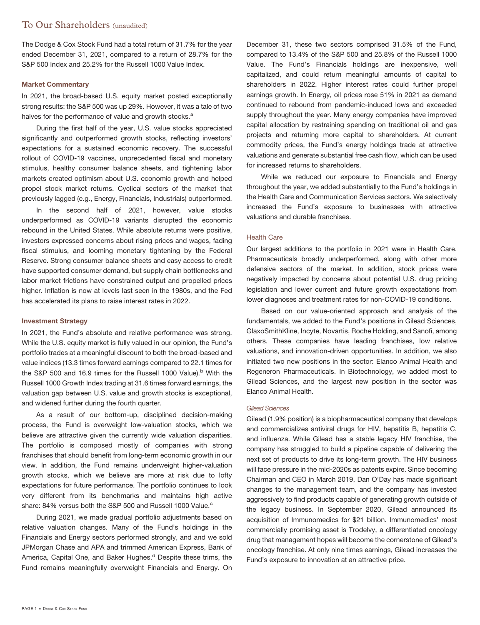## To Our Shareholders (unaudited)

The Dodge & Cox Stock Fund had a total return of 31.7% for the year ended December 31, 2021, compared to a return of 28.7% for the S&P 500 Index and 25.2% for the Russell 1000 Value Index.

### **Market Commentary**

In 2021, the broad-based U.S. equity market posted exceptionally strong results: the S&P 500 was up 29%. However, it was a tale of two halves for the performance of value and growth stocks.<sup>a</sup>

During the first half of the year, U.S. value stocks appreciated significantly and outperformed growth stocks, reflecting investors' expectations for a sustained economic recovery. The successful rollout of COVID-19 vaccines, unprecedented fiscal and monetary stimulus, healthy consumer balance sheets, and tightening labor markets created optimism about U.S. economic growth and helped propel stock market returns. Cyclical sectors of the market that previously lagged (e.g., Energy, Financials, Industrials) outperformed.

In the second half of 2021, however, value stocks underperformed as COVID-19 variants disrupted the economic rebound in the United States. While absolute returns were positive, investors expressed concerns about rising prices and wages, fading fiscal stimulus, and looming monetary tightening by the Federal Reserve. Strong consumer balance sheets and easy access to credit have supported consumer demand, but supply chain bottlenecks and labor market frictions have constrained output and propelled prices higher. Inflation is now at levels last seen in the 1980s, and the Fed has accelerated its plans to raise interest rates in 2022.

#### **Investment Strategy**

In 2021, the Fund's absolute and relative performance was strong. While the U.S. equity market is fully valued in our opinion, the Fund's portfolio trades at a meaningful discount to both the broad-based and value indices (13.3 times forward earnings compared to 22.1 times for the S&P 500 and 16.9 times for the Russell 1000 Value).<sup>b</sup> With the Russell 1000 Growth Index trading at 31.6 times forward earnings, the valuation gap between U.S. value and growth stocks is exceptional, and widened further during the fourth quarter.

As a result of our bottom-up, disciplined decision-making process, the Fund is overweight low-valuation stocks, which we believe are attractive given the currently wide valuation disparities. The portfolio is composed mostly of companies with strong franchises that should benefit from long-term economic growth in our view. In addition, the Fund remains underweight higher-valuation growth stocks, which we believe are more at risk due to lofty expectations for future performance. The portfolio continues to look very different from its benchmarks and maintains high active share: 84% versus both the S&P 500 and Russell 1000 Value.<sup>c</sup>

During 2021, we made gradual portfolio adjustments based on relative valuation changes. Many of the Fund's holdings in the Financials and Energy sectors performed strongly, and and we sold JPMorgan Chase and APA and trimmed American Express, Bank of America, Capital One, and Baker Hughes.<sup>d</sup> Despite these trims, the Fund remains meaningfully overweight Financials and Energy. On December 31, these two sectors comprised 31.5% of the Fund, compared to 13.4% of the S&P 500 and 25.8% of the Russell 1000 Value. The Fund's Financials holdings are inexpensive, well capitalized, and could return meaningful amounts of capital to shareholders in 2022. Higher interest rates could further propel earnings growth. In Energy, oil prices rose 51% in 2021 as demand continued to rebound from pandemic-induced lows and exceeded supply throughout the year. Many energy companies have improved capital allocation by restraining spending on traditional oil and gas projects and returning more capital to shareholders. At current commodity prices, the Fund's energy holdings trade at attractive valuations and generate substantial free cash flow, which can be used for increased returns to shareholders.

While we reduced our exposure to Financials and Energy throughout the year, we added substantially to the Fund's holdings in the Health Care and Communication Services sectors. We selectively increased the Fund's exposure to businesses with attractive valuations and durable franchises.

#### Health Care

Our largest additions to the portfolio in 2021 were in Health Care. Pharmaceuticals broadly underperformed, along with other more defensive sectors of the market. In addition, stock prices were negatively impacted by concerns about potential U.S. drug pricing legislation and lower current and future growth expectations from lower diagnoses and treatment rates for non-COVID-19 conditions.

Based on our value-oriented approach and analysis of the fundamentals, we added to the Fund's positions in Gilead Sciences, GlaxoSmithKline, Incyte, Novartis, Roche Holding, and Sanofi, among others. These companies have leading franchises, low relative valuations, and innovation-driven opportunities. In addition, we also initiated two new positions in the sector: Elanco Animal Health and Regeneron Pharmaceuticals. In Biotechnology, we added most to Gilead Sciences, and the largest new position in the sector was Elanco Animal Health.

#### Gilead Sciences

Gilead (1.9% position) is a biopharmaceutical company that develops and commercializes antiviral drugs for HIV, hepatitis B, hepatitis C, and influenza. While Gilead has a stable legacy HIV franchise, the company has struggled to build a pipeline capable of delivering the next set of products to drive its long-term growth. The HIV business will face pressure in the mid-2020s as patents expire. Since becoming Chairman and CEO in March 2019, Dan O'Day has made significant changes to the management team, and the company has invested aggressively to find products capable of generating growth outside of the legacy business. In September 2020, Gilead announced its acquisition of Immunomedics for \$21 billion. Immunomedics' most commercially promising asset is Trodelvy, a differentiated oncology drug that management hopes will become the cornerstone of Gilead's oncology franchise. At only nine times earnings, Gilead increases the Fund's exposure to innovation at an attractive price.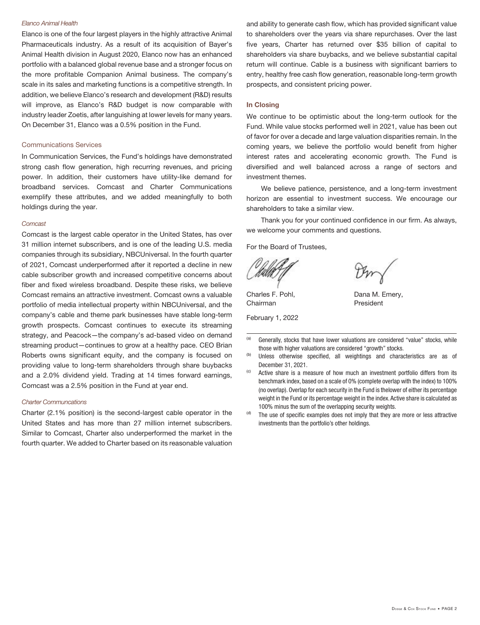#### Elanco Animal Health

Elanco is one of the four largest players in the highly attractive Animal Pharmaceuticals industry. As a result of its acquisition of Bayer's Animal Health division in August 2020, Elanco now has an enhanced portfolio with a balanced global revenue base and a stronger focus on the more profitable Companion Animal business. The company's scale in its sales and marketing functions is a competitive strength. In addition, we believe Elanco's research and development (R&D) results will improve, as Elanco's R&D budget is now comparable with industry leader Zoetis, after languishing at lower levels for many years. On December 31, Elanco was a 0.5% position in the Fund.

## Communications Services

In Communication Services, the Fund's holdings have demonstrated strong cash flow generation, high recurring revenues, and pricing power. In addition, their customers have utility-like demand for broadband services. Comcast and Charter Communications exemplify these attributes, and we added meaningfully to both holdings during the year.

## **Comcast**

Comcast is the largest cable operator in the United States, has over 31 million internet subscribers, and is one of the leading U.S. media companies through its subsidiary, NBCUniversal. In the fourth quarter of 2021, Comcast underperformed after it reported a decline in new cable subscriber growth and increased competitive concerns about fiber and fixed wireless broadband. Despite these risks, we believe Comcast remains an attractive investment. Comcast owns a valuable portfolio of media intellectual property within NBCUniversal, and the company's cable and theme park businesses have stable long-term growth prospects. Comcast continues to execute its streaming strategy, and Peacock—the company's ad-based video on demand streaming product—continues to grow at a healthy pace. CEO Brian Roberts owns significant equity, and the company is focused on providing value to long-term shareholders through share buybacks and a 2.0% dividend yield. Trading at 14 times forward earnings, Comcast was a 2.5% position in the Fund at year end.

## Charter Communcations

Charter (2.1% position) is the second-largest cable operator in the United States and has more than 27 million internet subscribers. Similar to Comcast, Charter also underperformed the market in the fourth quarter. We added to Charter based on its reasonable valuation and ability to generate cash flow, which has provided significant value to shareholders over the years via share repurchases. Over the last five years, Charter has returned over \$35 billion of capital to shareholders via share buybacks, and we believe substantial capital return will continue. Cable is a business with significant barriers to entry, healthy free cash flow generation, reasonable long-term growth prospects, and consistent pricing power.

### **In Closing**

We continue to be optimistic about the long-term outlook for the Fund. While value stocks performed well in 2021, value has been out of favor for over a decade and large valuation disparities remain. In the coming years, we believe the portfolio would benefit from higher interest rates and accelerating economic growth. The Fund is diversified and well balanced across a range of sectors and investment themes.

We believe patience, persistence, and a long-term investment horizon are essential to investment success. We encourage our shareholders to take a similar view.

Thank you for your continued confidence in our firm. As always, we welcome your comments and questions.

For the Board of Trustees,

Charles F. Pohl, Chairman

February 1, 2022

Dana M. Emery, President

- $(a)$  Generally, stocks that have lower valuations are considered "value" stocks, while those with higher valuations are considered "growth" stocks.
- (b) Unless otherwise specified, all weightings and characteristics are as of December 31, 2021.
- $<sup>(c)</sup>$  Active share is a measure of how much an investment portfolio differs from its</sup> benchmark index, based on a scale of 0% (complete overlap with the index) to 100% (no overlap). Overlap for each security in the Fund is thelower of either its percentage weight in the Fund or its percentage weight in the index. Active share is calculated as 100% minus the sum of the overlapping security weights.
- $<sup>(d)</sup>$  The use of specific examples does not imply that they are more or less attractive</sup> investments than the portfolio's other holdings.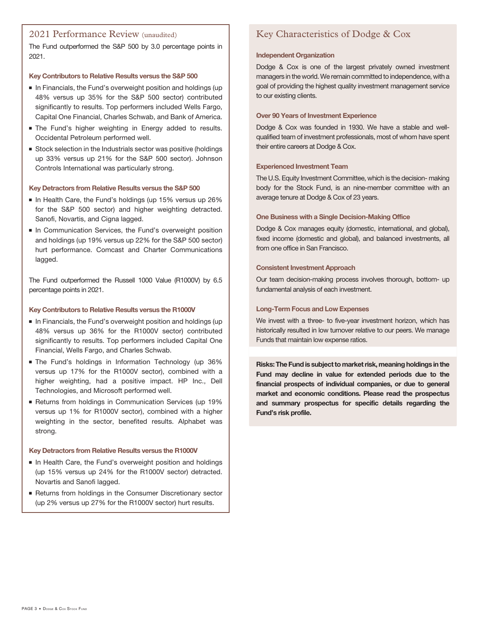## 2021 Performance Review (unaudited)

The Fund outperformed the S&P 500 by 3.0 percentage points in 2021.

## **Key Contributors to Relative Results versus the S&P 500**

- In Financials, the Fund's overweight position and holdings (up 48% versus up 35% for the S&P 500 sector) contributed significantly to results. Top performers included Wells Fargo, Capital One Financial, Charles Schwab, and Bank of America.
- **The Fund's higher weighting in Energy added to results.** Occidental Petroleum performed well.
- **Stock selection in the Industrials sector was positive (holdings** up 33% versus up 21% for the S&P 500 sector). Johnson Controls International was particularly strong.

#### **Key Detractors from Relative Results versus the S&P 500**

- In Health Care, the Fund's holdings (up 15% versus up 26% for the S&P 500 sector) and higher weighting detracted. Sanofi, Novartis, and Cigna lagged.
- **In Communication Services, the Fund's overweight position** and holdings (up 19% versus up 22% for the S&P 500 sector) hurt performance. Comcast and Charter Communications lagged.

The Fund outperformed the Russell 1000 Value (R1000V) by 6.5 percentage points in 2021.

## **Key Contributors to Relative Results versus the R1000V**

- **In Financials, the Fund's overweight position and holdings (up** 48% versus up 36% for the R1000V sector) contributed significantly to results. Top performers included Capital One Financial, Wells Fargo, and Charles Schwab.
- **The Fund's holdings in Information Technology (up 36%** versus up 17% for the R1000V sector), combined with a higher weighting, had a positive impact. HP Inc., Dell Technologies, and Microsoft performed well.
- **Beturns from holdings in Communication Services (up 19%** versus up 1% for R1000V sector), combined with a higher weighting in the sector, benefited results. Alphabet was strong.

## **Key Detractors from Relative Results versus the R1000V**

- **In Health Care, the Fund's overweight position and holdings** (up 15% versus up 24% for the R1000V sector) detracted. Novartis and Sanofi lagged.
- Returns from holdings in the Consumer Discretionary sector (up 2% versus up 27% for the R1000V sector) hurt results.

## Key Characteristics of Dodge & Cox

#### **Independent Organization**

Dodge & Cox is one of the largest privately owned investment managers in the world.We remain committed to independence, with a goal of providing the highest quality investment management service to our existing clients.

## **Over 90 Years of Investment Experience**

Dodge & Cox was founded in 1930. We have a stable and wellqualified team of investment professionals, most of whom have spent their entire careers at Dodge & Cox.

#### **Experienced Investment Team**

The U.S. Equity Investment Committee, which is the decision- making body for the Stock Fund, is an nine-member committee with an average tenure at Dodge & Cox of 23 years.

## **One Business with a Single Decision-Making Office**

Dodge & Cox manages equity (domestic, international, and global), fixed income (domestic and global), and balanced investments, all from one office in San Francisco.

## **Consistent Investment Approach**

Our team decision-making process involves thorough, bottom- up fundamental analysis of each investment.

## **Long-Term Focus and Low Expenses**

We invest with a three- to five-year investment horizon, which has historically resulted in low turnover relative to our peers. We manage Funds that maintain low expense ratios.

**Risks: The Fund is subject tomarket risk,meaning holdings in the Fund may decline in value for extended periods due to the financial prospects of individual companies, or due to general market and economic conditions. Please read the prospectus and summary prospectus for specific details regarding the Fund's risk profile.**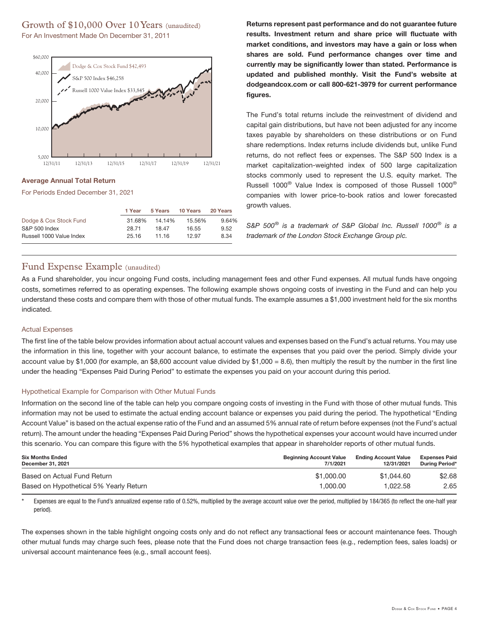Growth of \$10,000 Over 10Years (unaudited) For An Investment Made On December 31, 2011



#### **Average Annual Total Return**

For Periods Ended December 31, 2021

|                          | 1 Year | 5 Years | <b>10 Years</b> | 20 Years |
|--------------------------|--------|---------|-----------------|----------|
| Dodge & Cox Stock Fund   | 31.68% | 14.14%  | 15.56%          | 9.64%    |
| S&P 500 Index            | 28.71  | 18.47   | 16.55           | 9.52     |
| Russell 1000 Value Index | 25.16  | 11.16   | 12.97           | 8.34     |

**Returns represent past performance and do not guarantee future results. Investment return and share price will fluctuate with market conditions, and investors may have a gain or loss when shares are sold. Fund performance changes over time and currently may be significantly lower than stated. Performance is updated and published monthly. Visit the Fund's website at dodgeandcox.com or call 800-621-3979 for current performance figures.**

The Fund's total returns include the reinvestment of dividend and capital gain distributions, but have not been adjusted for any income taxes payable by shareholders on these distributions or on Fund share redemptions. Index returns include dividends but, unlike Fund returns, do not reflect fees or expenses. The S&P 500 Index is a market capitalization-weighted index of 500 large capitalization stocks commonly used to represent the U.S. equity market. The Russell 1000® Value Index is composed of those Russell 1000® companies with lower price-to-book ratios and lower forecasted growth values.

S&P 500<sup>®</sup> is a trademark of S&P Global Inc. Russell 1000<sup>®</sup> is a trademark of the London Stock Exchange Group plc.

## Fund Expense Example (unaudited)

As a Fund shareholder, you incur ongoing Fund costs, including management fees and other Fund expenses. All mutual funds have ongoing costs, sometimes referred to as operating expenses. The following example shows ongoing costs of investing in the Fund and can help you understand these costs and compare them with those of other mutual funds. The example assumes a \$1,000 investment held for the six months indicated.

#### Actual Expenses

The first line of the table below provides information about actual account values and expenses based on the Fund's actual returns. You may use the information in this line, together with your account balance, to estimate the expenses that you paid over the period. Simply divide your account value by \$1,000 (for example, an \$8,600 account value divided by \$1,000 = 8.6), then multiply the result by the number in the first line under the heading "Expenses Paid During Period" to estimate the expenses you paid on your account during this period.

## Hypothetical Example for Comparison with Other Mutual Funds

Information on the second line of the table can help you compare ongoing costs of investing in the Fund with those of other mutual funds. This information may not be used to estimate the actual ending account balance or expenses you paid during the period. The hypothetical "Ending Account Value" is based on the actual expense ratio of the Fund and an assumed 5% annual rate of return before expenses (not the Fund's actual return). The amount under the heading "Expenses Paid During Period" shows the hypothetical expenses your account would have incurred under this scenario. You can compare this figure with the 5% hypothetical examples that appear in shareholder reports of other mutual funds.

| <b>Six Months Ended</b><br>December 31, 2021 | <b>Beginning Account Value</b><br>7/1/2021 | <b>Ending Account Value</b><br>12/31/2021 | <b>Expenses Paid</b><br><b>During Period*</b> |
|----------------------------------------------|--------------------------------------------|-------------------------------------------|-----------------------------------------------|
| Based on Actual Fund Return                  | \$1,000.00                                 | \$1,044.60                                | \$2.68                                        |
| Based on Hypothetical 5% Yearly Return       | 1.000.00                                   | 1.022.58                                  | 2.65                                          |

Expenses are equal to the Fund's annualized expense ratio of 0.52%, multiplied by the average account value over the period, multiplied by 184/365 (to reflect the one-half year period).

The expenses shown in the table highlight ongoing costs only and do not reflect any transactional fees or account maintenance fees. Though other mutual funds may charge such fees, please note that the Fund does not charge transaction fees (e.g., redemption fees, sales loads) or universal account maintenance fees (e.g., small account fees).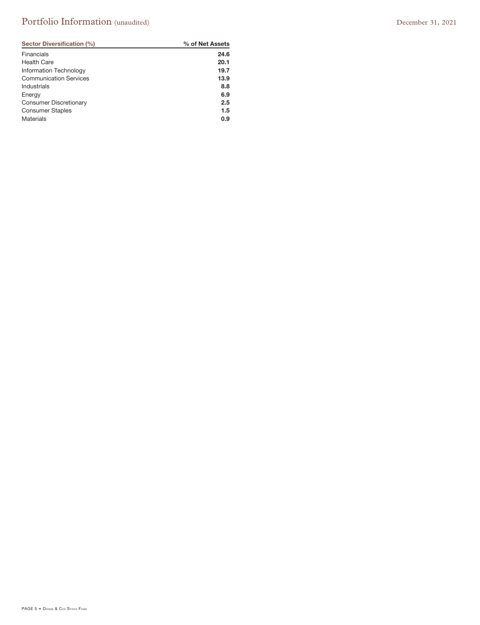## Portfolio Information (unaudited) December 31, 2021

| Sector Diversification (%)    | % of Net Assets |
|-------------------------------|-----------------|
| <b>Financials</b>             | 24.6            |
| <b>Health Care</b>            | 20.1            |
| Information Technology        | 19.7            |
| <b>Communication Services</b> | 13.9            |
| Industrials                   | 8.8             |
| Energy                        | 6.9             |
| <b>Consumer Discretionary</b> | 2.5             |
| <b>Consumer Staples</b>       | 1.5             |
| Materials                     | 0.9             |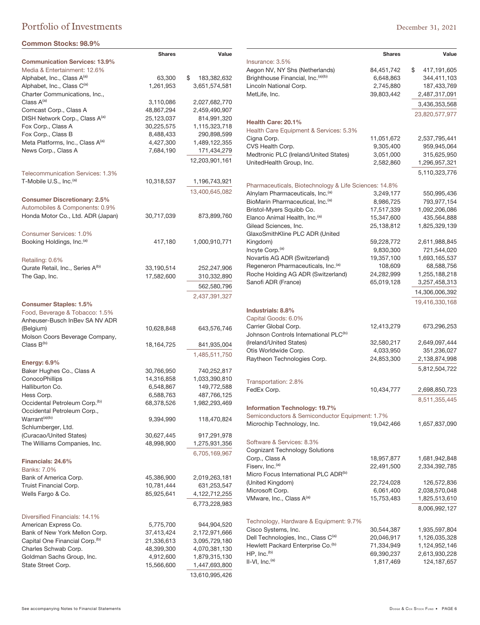## Portfolio of Investments December 31, 2021

## **Common Stocks: 98.9%**

|                                                               | <b>Shares</b>            | Value             |
|---------------------------------------------------------------|--------------------------|-------------------|
| <b>Communication Services: 13.9%</b>                          |                          |                   |
| Media & Entertainment: 12.6%                                  |                          |                   |
| Alphabet, Inc., Class A <sup>(a)</sup>                        | 63,300                   | \$<br>183,382,632 |
| Alphabet, Inc., Class C <sup>(a)</sup>                        | 1,261,953                | 3,651,574,581     |
| Charter Communications, Inc.,                                 |                          |                   |
| Class $A^{(a)}$                                               | 3,110,086                | 2,027,682,770     |
| Comcast Corp., Class A                                        | 48,867,294               | 2,459,490,907     |
| DISH Network Corp., Class A <sup>(a)</sup>                    | 25,123,037               | 814,991,320       |
| Fox Corp., Class A                                            | 30,225,575               | 1,115,323,718     |
| Fox Corp., Class B                                            | 8,488,433                | 290,898,599       |
| Meta Platforms, Inc., Class A <sup>(a)</sup>                  | 4,427,300                | 1,489,122,355     |
| News Corp., Class A                                           | 7,684,190                | 171,434,279       |
|                                                               |                          | 12,203,901,161    |
|                                                               |                          |                   |
| <b>Telecommunication Services: 1.3%</b>                       |                          |                   |
| T-Mobile U.S., Inc. <sup>(a)</sup>                            | 10,318,537               | 1,196,743,921     |
|                                                               |                          | 13,400,645,082    |
| <b>Consumer Discretionary: 2.5%</b>                           |                          |                   |
| Automobiles & Components: 0.9%                                |                          |                   |
| Honda Motor Co., Ltd. ADR (Japan)                             | 30,717,039               | 873,899,760       |
|                                                               |                          |                   |
| Consumer Services: 1.0%                                       |                          |                   |
| Booking Holdings, Inc. <sup>(a)</sup>                         | 417,180                  | 1,000,910,771     |
|                                                               |                          |                   |
| Retailing: 0.6%                                               |                          |                   |
|                                                               |                          | 252,247,906       |
| Qurate Retail, Inc., Series A <sup>(b)</sup><br>The Gap, Inc. | 33,190,514<br>17,582,600 |                   |
|                                                               |                          | 310,332,890       |
|                                                               |                          | 562,580,796       |
|                                                               |                          | 2,437,391,327     |
| <b>Consumer Staples: 1.5%</b>                                 |                          |                   |
| Food, Beverage & Tobacco: 1.5%                                |                          |                   |
| Anheuser-Busch InBev SA NV ADR                                |                          |                   |
| (Belgium)                                                     | 10,628,848               | 643,576,746       |
| Molson Coors Beverage Company,                                |                          |                   |
| Class $B^{(b)}$                                               | 18,164,725               | 841,935,004       |
|                                                               |                          | 1,485,511,750     |
| Energy: 6.9%                                                  |                          |                   |
| Baker Hughes Co., Class A                                     | 30,766,950               | 740,252,817       |
| ConocoPhillips                                                | 14,316,858               | 1,033,390,810     |
| Halliburton Co.                                               | 6,548,867                | 149,772,588       |
| Hess Corp.                                                    | 6,588,763                | 487,766,125       |
| Occidental Petroleum Corp. <sup>(b)</sup>                     | 68,378,526               | 1,982,293,469     |
| Occidental Petroleum Corp.,                                   |                          |                   |
| Warrant <sup>(a)(b)</sup>                                     | 9,394,990                | 118,470,824       |
| Schlumberger, Ltd.                                            |                          |                   |
| (Curacao/United States)                                       | 30,627,445               | 917,291,978       |
| The Williams Companies, Inc.                                  | 48,998,900               | 1,275,931,356     |
|                                                               |                          | 6,705,169,967     |
| Financials: 24.6%                                             |                          |                   |
| Banks: 7.0%                                                   |                          |                   |
| Bank of America Corp.                                         | 45,386,900               | 2,019,263,181     |
| Truist Financial Corp.                                        | 10,781,444               | 631,253,547       |
| Wells Fargo & Co.                                             | 85,925,641               | 4,122,712,255     |
|                                                               |                          |                   |
|                                                               |                          | 6,773,228,983     |
| Diversified Financials: 14.1%                                 |                          |                   |
| American Express Co.                                          | 5,775,700                | 944,904,520       |
| Bank of New York Mellon Corp.                                 | 37,413,424               | 2,172,971,666     |
| Capital One Financial Corp. <sup>(b)</sup>                    | 21,336,613               | 3,095,729,180     |
| Charles Schwab Corp.                                          | 48,399,300               | 4,070,381,130     |
| Goldman Sachs Group, Inc.                                     | 4,912,600                | 1,879,315,130     |
| State Street Corp.                                            | 15,566,600               | 1,447,693,800     |
|                                                               |                          | 13,610,995,426    |
|                                                               |                          |                   |

|                                                       | Shares     | Value             |
|-------------------------------------------------------|------------|-------------------|
| Insurance: 3.5%                                       |            |                   |
| Aegon NV, NY Shs (Netherlands)                        | 84,451,742 | \$<br>417,191,605 |
| Brighthouse Financial, Inc. (a)(b)                    | 6,648,863  | 344,411,103       |
| Lincoln National Corp.                                | 2,745,880  | 187,433,769       |
| MetLife, Inc.                                         | 39,803,442 | 2,487,317,091     |
|                                                       |            | 3,436,353,568     |
|                                                       |            | 23,820,577,977    |
| Health Care: 20.1%                                    |            |                   |
| Health Care Equipment & Services: 5.3%                |            |                   |
| Cigna Corp.                                           | 11,051,672 | 2,537,795,441     |
| CVS Health Corp.                                      | 9,305,400  | 959,945,064       |
| Medtronic PLC (Ireland/United States)                 | 3,051,000  | 315,625,950       |
| UnitedHealth Group, Inc.                              | 2,582,860  | 1,296,957,321     |
|                                                       |            | 5,110,323,776     |
|                                                       |            |                   |
| Pharmaceuticals, Biotechnology & Life Sciences: 14.8% |            |                   |
| Alnylam Pharmaceuticals, Inc. <sup>(a)</sup>          | 3,249,177  | 550,995,436       |
| BioMarin Pharmaceutical, Inc. <sup>(a)</sup>          | 8,986,725  | 793,977,154       |
| Bristol-Myers Squibb Co.                              | 17,517,339 | 1,092,206,086     |
| Elanco Animal Health, Inc. <sup>(a)</sup>             | 15,347,600 | 435,564,888       |
| Gilead Sciences, Inc.                                 | 25,138,812 | 1,825,329,139     |
| GlaxoSmithKline PLC ADR (United                       |            |                   |
| Kingdom)                                              | 59,228,772 | 2,611,988,845     |
| Incyte Corp. <sup>(a)</sup>                           | 9,830,300  | 721,544,020       |
| Novartis AG ADR (Switzerland)                         | 19,357,100 | 1,693,165,537     |
| Regeneron Pharmaceuticals, Inc. <sup>(a)</sup>        | 108,609    | 68,588,756        |
| Roche Holding AG ADR (Switzerland)                    | 24,282,999 | 1,255,188,218     |
| Sanofi ADR (France)                                   | 65,019,128 | 3,257,458,313     |
|                                                       |            | 14,306,006,392    |
|                                                       |            | 19,416,330,168    |
| Industrials: 8.8%                                     |            |                   |
| Capital Goods: 6.0%                                   |            |                   |
| Carrier Global Corp.                                  | 12,413,279 | 673,296,253       |
| Johnson Controls International PLC <sup>(b)</sup>     |            |                   |
| (Ireland/United States)                               | 32,580,217 | 2,649,097,444     |
| Otis Worldwide Corp.                                  | 4,033,950  | 351,236,027       |
| Raytheon Technologies Corp.                           | 24,853,300 | 2,138,874,998     |
|                                                       |            | 5,812,504,722     |
|                                                       |            |                   |
| Transportation: 2.8%                                  |            |                   |
| FedEx Corp.                                           | 10,434,777 | 2,698,850,723     |
|                                                       |            | 8,511,355,445     |
| <b>Information Technology: 19.7%</b>                  |            |                   |
| Semiconductors & Semiconductor Equipment: 1.7%        |            |                   |
| Microchip Technology, Inc.                            | 19,042,466 | 1,657,837,090     |
|                                                       |            |                   |
| Software & Services: 8.3%                             |            |                   |
| <b>Cognizant Technology Solutions</b>                 |            |                   |
| Corp., Class A                                        | 18,957,877 | 1,681,942,848     |
| Fiserv, Inc. <sup>(a)</sup>                           | 22,491,500 | 2,334,392,785     |
| Micro Focus International PLC ADR <sup>(b)</sup>      |            |                   |
| (United Kingdom)                                      | 22,724,028 | 126,572,836       |
| Microsoft Corp.                                       | 6,061,400  | 2,038,570,048     |
| VMware, Inc., Class A(a)                              | 15,753,483 | 1,825,513,610     |
|                                                       |            | 8,006,992,127     |
|                                                       |            |                   |
| Technology, Hardware & Equipment: 9.7%                |            |                   |
| Cisco Systems, Inc.                                   | 30,544,387 | 1,935,597,804     |
| Dell Technologies, Inc., Class C <sup>(a)</sup>       | 20,046,917 | 1,126,035,328     |
| Hewlett Packard Enterprise Co. <sup>(b)</sup>         | 71,334,949 | 1,124,952,146     |
| $HP$ , Inc. $^{(b)}$                                  | 69,390,237 | 2,613,930,228     |
| $II-VI$ , Inc. $(a)$                                  | 1,817,469  | 124,187,657       |
|                                                       |            |                   |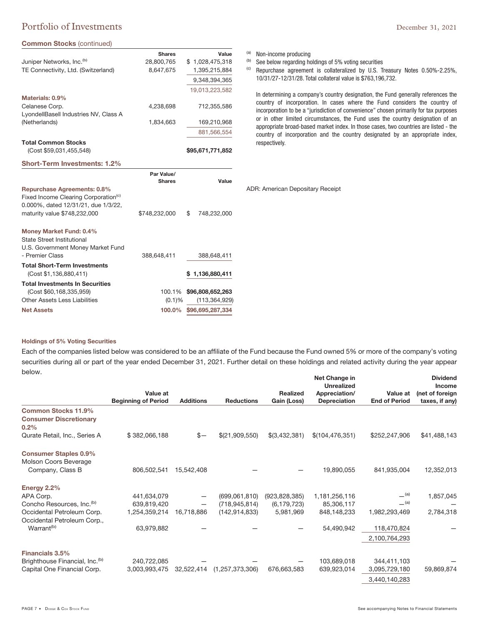## Portfolio of Investments December 31, 2021

## **Common Stocks** (continued)

| Juniper Networks, Inc. <sup>(b)</sup>                                                  | <b>Shares</b><br>28,800,765 | Value<br>\$1,028,475,318            |
|----------------------------------------------------------------------------------------|-----------------------------|-------------------------------------|
| TE Connectivity, Ltd. (Switzerland)                                                    | 8,647,675                   | 1,395,215,884                       |
|                                                                                        |                             | 9,348,394,365                       |
|                                                                                        |                             | 19,013,223,582                      |
| Materials: 0.9%                                                                        |                             |                                     |
| Celanese Corp.                                                                         | 4,238,698                   | 712,355,586                         |
| LyondellBasell Industries NV, Class A                                                  |                             |                                     |
| (Netherlands)                                                                          | 1,834,663                   | 169,210,968                         |
|                                                                                        |                             | 881,566,554                         |
| <b>Total Common Stocks</b>                                                             |                             |                                     |
| (Cost \$59,031,455,548)                                                                |                             | \$95,671,771,852                    |
| <b>Short-Term Investments: 1.2%</b>                                                    |                             |                                     |
|                                                                                        | Par Value/                  |                                     |
|                                                                                        | <b>Shares</b>               | Value                               |
| <b>Repurchase Agreements: 0.8%</b><br>Fixed Income Clearing Corporation <sup>(c)</sup> |                             |                                     |
| 0.000%, dated 12/31/21, due 1/3/22,                                                    |                             |                                     |
| maturity value \$748,232,000                                                           | \$748,232,000               | \$<br>748,232,000                   |
|                                                                                        |                             |                                     |
| <b>Money Market Fund: 0.4%</b>                                                         |                             |                                     |
|                                                                                        |                             |                                     |
| State Street Institutional                                                             |                             |                                     |
| U.S. Government Money Market Fund                                                      |                             |                                     |
| - Premier Class                                                                        | 388,648,411                 | 388,648,411                         |
| <b>Total Short-Term Investments</b>                                                    |                             |                                     |
| (Cost \$1,136,880,411)                                                                 |                             | \$1,136,880,411                     |
| <b>Total Investments In Securities</b>                                                 |                             |                                     |
| (Cost \$60,168,335,959)                                                                | 100.1%                      | \$96,808,652,263                    |
| Other Assets Less Liabilities<br><b>Net Assets</b>                                     | (0.1)%<br>100.0%            | (113, 364, 929)<br>\$96,695,287,334 |

(a) Non-income producing

(b) See below regarding holdings of 5% voting securities

(c) Repurchase agreement is collateralized by U.S. Treasury Notes 0.50%-2.25%, 10/31/27-12/31/28. Total collateral value is \$763,196,732.

In determining a company's country designation, the Fund generally references the country of incorporation. In cases where the Fund considers the country of incorporation to be a "jurisdiction of convenience" chosen primarily for tax purposes or in other limited circumstances, the Fund uses the country designation of an appropriate broad-based market index. In those cases, two countries are listed - the country of incorporation and the country designated by an appropriate index, respectively.

ADR: American Depositary Receipt

#### **Holdings of 5% Voting Securities**

Each of the companies listed below was considered to be an affiliate of the Fund because the Fund owned 5% or more of the company's voting securities during all or part of the year ended December 31, 2021. Further detail on these holdings and related activity during the year appear below.

|                                                           |                            |                  |                    |                 | Net Change in<br><b>Unrealized</b> |                      | <b>Dividend</b><br>Income |
|-----------------------------------------------------------|----------------------------|------------------|--------------------|-----------------|------------------------------------|----------------------|---------------------------|
|                                                           | Value at                   |                  |                    | <b>Realized</b> | Appreciation/                      | Value at             | (net of foreign           |
|                                                           | <b>Beginning of Period</b> | <b>Additions</b> | <b>Reductions</b>  | Gain (Loss)     | Depreciation                       | <b>End of Period</b> | taxes, if any)            |
| <b>Common Stocks 11.9%</b>                                |                            |                  |                    |                 |                                    |                      |                           |
| <b>Consumer Discretionary</b><br>0.2%                     |                            |                  |                    |                 |                                    |                      |                           |
| Qurate Retail, Inc., Series A                             | \$382,066,188              | $$ -$            | \$(21,909,550)     | \$(3,432,381)   | \$(104, 476, 351)                  | \$252,247,906        | \$41,488,143              |
| <b>Consumer Staples 0.9%</b><br>Molson Coors Beverage     |                            |                  |                    |                 |                                    |                      |                           |
| Company, Class B                                          | 806,502,541                | 15,542,408       |                    |                 | 19,890,055                         | 841,935,004          | 12,352,013                |
| Energy 2.2%                                               |                            |                  |                    |                 |                                    |                      |                           |
| APA Corp.                                                 | 441,634,079                |                  | (699,061,810)      | (923, 828, 385) | 1,181,256,116                      | $=$ (a)              | 1,857,045                 |
| Concho Resources, Inc. <sup>(b)</sup>                     | 639,819,420                |                  | (718, 945, 814)    | (6, 179, 723)   | 85,306,117                         | (a)                  |                           |
| Occidental Petroleum Corp.<br>Occidental Petroleum Corp., | 1,254,359,214              | 16,718,886       | (142, 914, 833)    | 5,981,969       | 848,148,233                        | 1,982,293,469        | 2,784,318                 |
| Warrant <sup>(b)</sup>                                    | 63,979,882                 |                  |                    |                 | 54,490,942                         | 118,470,824          |                           |
|                                                           |                            |                  |                    |                 |                                    | 2,100,764,293        |                           |
| Financials 3.5%                                           |                            |                  |                    |                 |                                    |                      |                           |
| Brighthouse Financial, Inc. <sup>(b)</sup>                | 240,722,085                |                  |                    |                 | 103,689,018                        | 344,411,103          |                           |
| Capital One Financial Corp.                               | 3.003.993.475              | 32,522,414       | (1, 257, 373, 306) | 676,663,583     | 639,923,014                        | 3,095,729,180        | 59,869,874                |
|                                                           |                            |                  |                    |                 |                                    | 3,440,140,283        |                           |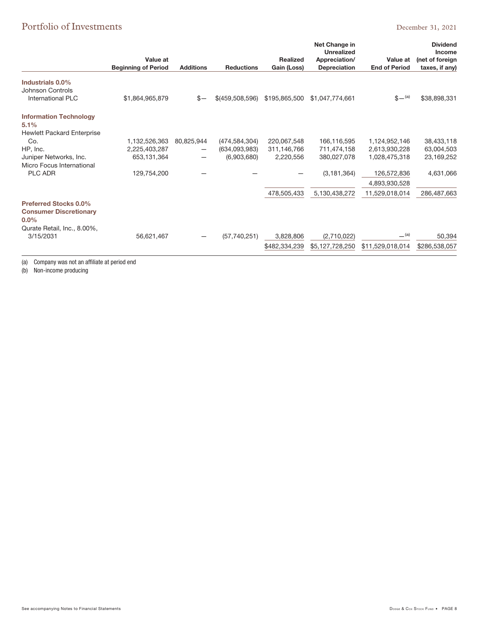## Portfolio of Investments December 31, 2021

|                                                                                                  | Value at<br><b>Beginning of Period</b> | <b>Additions</b> | <b>Reductions</b> | <b>Realized</b><br>Gain (Loss) | Net Change in<br><b>Unrealized</b><br>Appreciation/<br><b>Depreciation</b> | Value at<br><b>End of Period</b> | <b>Dividend</b><br>Income<br>(net of foreign<br>taxes, if any) |
|--------------------------------------------------------------------------------------------------|----------------------------------------|------------------|-------------------|--------------------------------|----------------------------------------------------------------------------|----------------------------------|----------------------------------------------------------------|
| Industrials 0.0%                                                                                 |                                        |                  |                   |                                |                                                                            |                                  |                                                                |
| Johnson Controls                                                                                 |                                        |                  |                   |                                |                                                                            |                                  |                                                                |
| International PLC                                                                                | \$1,864,965,879                        | $s-$             | \$(459,508,596)   | \$195,865,500                  | \$1,047,774,661                                                            | $$ - (a)$                        | \$38,898,331                                                   |
| <b>Information Technology</b><br>5.1%                                                            |                                        |                  |                   |                                |                                                                            |                                  |                                                                |
| <b>Hewlett Packard Enterprise</b>                                                                |                                        |                  |                   |                                |                                                                            |                                  |                                                                |
| Co.                                                                                              | 1,132,526,363                          | 80,825,944       | (474, 584, 304)   | 220,067,548                    | 166,116,595                                                                | 1,124,952,146                    | 38,433,118                                                     |
| HP, Inc.                                                                                         | 2,225,403,287                          |                  | (634,093,983)     | 311,146,766                    | 711,474,158                                                                | 2,613,930,228                    | 63,004,503                                                     |
| Juniper Networks, Inc.<br>Micro Focus International                                              | 653,131,364                            |                  | (6,903,680)       | 2.220.556                      | 380,027,078                                                                | 1,028,475,318                    | 23,169,252                                                     |
| PLC ADR                                                                                          | 129,754,200                            |                  |                   |                                | (3, 181, 364)                                                              | 126,572,836                      | 4,631,066                                                      |
|                                                                                                  |                                        |                  |                   |                                |                                                                            | 4,893,930,528                    |                                                                |
|                                                                                                  |                                        |                  |                   | 478,505,433                    | 5,130,438,272                                                              | 11,529,018,014                   | 286,487,663                                                    |
| Preferred Stocks 0.0%<br><b>Consumer Discretionary</b><br>$0.0\%$<br>Qurate Retail, Inc., 8.00%, |                                        |                  |                   |                                |                                                                            |                                  |                                                                |
| 3/15/2031                                                                                        | 56,621,467                             |                  | (57, 740, 251)    | 3,828,806                      | (2,710,022)                                                                | (a)                              | 50,394                                                         |
|                                                                                                  |                                        |                  |                   | \$482,334,239                  | \$5,127,728,250                                                            | \$11,529,018,014                 | \$286,538,057                                                  |

(a) Company was not an affiliate at period end

(b) Non-income producing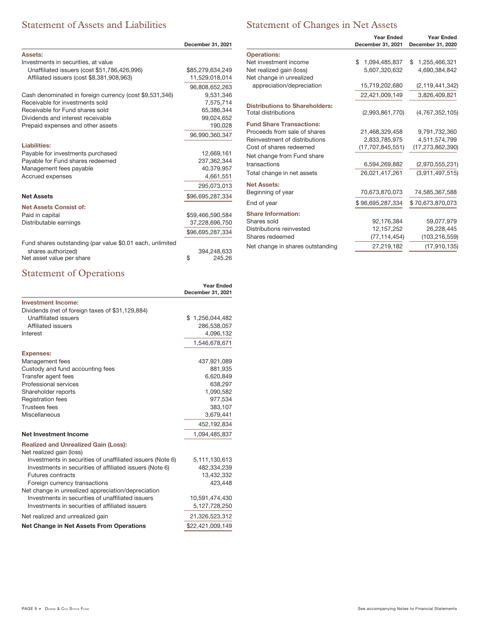## Statement of Assets and Liabilities

## Statement of Changes in Net Assets

|                                                           | December 31, 2021 |
|-----------------------------------------------------------|-------------------|
| Assets:                                                   |                   |
| Investments in securities, at value                       |                   |
| Unaffiliated issuers (cost \$51,786,426,996)              | \$85,279,634,249  |
| Affiliated issuers (cost \$8,381,908,963)                 | 11,529,018,014    |
|                                                           | 96,808,652,263    |
| Cash denominated in foreign currency (cost \$9,531,346)   | 9,531,346         |
| Receivable for investments sold                           | 7,575,714         |
| Receivable for Fund shares sold                           | 65,386,344        |
| Dividends and interest receivable                         | 99,024,652        |
| Prepaid expenses and other assets                         | 190.028           |
|                                                           | 96,990,360,347    |
| Liabilities:                                              |                   |
| Payable for investments purchased                         | 12,669,161        |
| Payable for Fund shares redeemed                          | 237, 362, 344     |
| Management fees payable                                   | 40,379,957        |
| Accrued expenses                                          | 4.661.551         |
|                                                           | 295.073.013       |
| <b>Net Assets</b>                                         | \$96,695,287,334  |
| <b>Net Assets Consist of:</b>                             |                   |
| Paid in capital                                           | \$59,466,590,584  |
| Distributable earnings                                    | 37,228,696,750    |
|                                                           | \$96,695,287,334  |
| Fund shares outstanding (par value \$0.01 each, unlimited |                   |
| shares authorized)                                        | 394,248,633       |
| Net asset value per share                                 | \$<br>245.26      |

## Statement of Operations

|                                                                                                      | <b>Year Ended</b><br>December 31, 2021 |
|------------------------------------------------------------------------------------------------------|----------------------------------------|
| <b>Investment Income:</b>                                                                            |                                        |
| Dividends (net of foreign taxes of \$31,129,884)                                                     |                                        |
| <b>Unaffiliated issuers</b>                                                                          | \$1,256,044,482                        |
| Affiliated issuers                                                                                   | 286,538,057                            |
| Interest                                                                                             | 4,096,132                              |
|                                                                                                      | 1,546,678,671                          |
| <b>Expenses:</b>                                                                                     |                                        |
| Management fees                                                                                      | 437,921,089                            |
| Custody and fund accounting fees                                                                     | 881,935                                |
| Transfer agent fees                                                                                  | 6,620,849                              |
| Professional services                                                                                | 638,297                                |
| Shareholder reports                                                                                  | 1,090,582                              |
| <b>Registration fees</b>                                                                             | 977,534                                |
| <b>Trustees fees</b>                                                                                 | 383,107                                |
| Miscellaneous                                                                                        | 3,679,441                              |
|                                                                                                      | 452,192,834                            |
| <b>Net Investment Income</b>                                                                         | 1,094,485,837                          |
| <b>Realized and Unrealized Gain (Loss):</b>                                                          |                                        |
| Net realized gain (loss)                                                                             |                                        |
| Investments in securities of unaffiliated issuers (Note 6)                                           | 5,111,130,613                          |
| Investments in securities of affiliated issuers (Note 6)                                             | 482,334,239                            |
| <b>Futures contracts</b>                                                                             | 13,432,332                             |
| Foreign currency transactions                                                                        | 423,448                                |
| Net change in unrealized appreciation/depreciation                                                   |                                        |
| Investments in securities of unaffiliated issuers<br>Investments in securities of affiliated issuers | 10,591,474,430                         |
|                                                                                                      | 5,127,728,250                          |
| Net realized and unrealized gain                                                                     | 21,326,523,312                         |
| Net Change in Net Assets From Operations                                                             | \$22,421,009,149                       |

|                                                                     | <b>Year Ended</b><br>December 31, 2021 | <b>Year Ended</b><br>December 31, 2020 |
|---------------------------------------------------------------------|----------------------------------------|----------------------------------------|
| <b>Operations:</b>                                                  |                                        |                                        |
| Net investment income                                               | \$<br>1,094,485,837                    | 1,255,466,321<br>\$                    |
| Net realized gain (loss)<br>Net change in unrealized                | 5,607,320,632                          | 4,690,384,842                          |
| appreciation/depreciation                                           | 15,719,202,680                         | (2, 119, 441, 342)                     |
|                                                                     | 22.421.009.149                         | 3,826,409,821                          |
| <b>Distributions to Shareholders:</b><br><b>Total distributions</b> | (2,993,861,770)                        | (4,767,352,105)                        |
| <b>Fund Share Transactions:</b>                                     |                                        |                                        |
| Proceeds from sale of shares                                        | 21.468.329.458                         | 9,791,732,360                          |
| Reinvestment of distributions                                       | 2,833,785,975                          | 4,511,574,799                          |
| Cost of shares redeemed                                             | (17,707,845,551)                       | (17,273,862,390)                       |
| Net change from Fund share                                          |                                        |                                        |
| transactions                                                        | 6,594,269,882                          | (2,970,555,231)                        |
| Total change in net assets                                          | 26,021,417,261                         | (3,911,497,515)                        |
| <b>Net Assets:</b>                                                  |                                        |                                        |
| Beginning of year                                                   | 70,673,870,073                         | 74,585,367,588                         |
| End of year                                                         | \$96,695,287,334                       | \$70,673,870,073                       |
| <b>Share Information:</b>                                           |                                        |                                        |
| Shares sold                                                         | 92,176,384                             | 59,077,979                             |
| Distributions reinvested                                            | 12, 157, 252                           | 26,228,445                             |
| Shares redeemed                                                     | (77, 114, 454)                         | (103, 216, 559)                        |
| Net change in shares outstanding                                    | 27,219,182                             | (17, 910, 135)                         |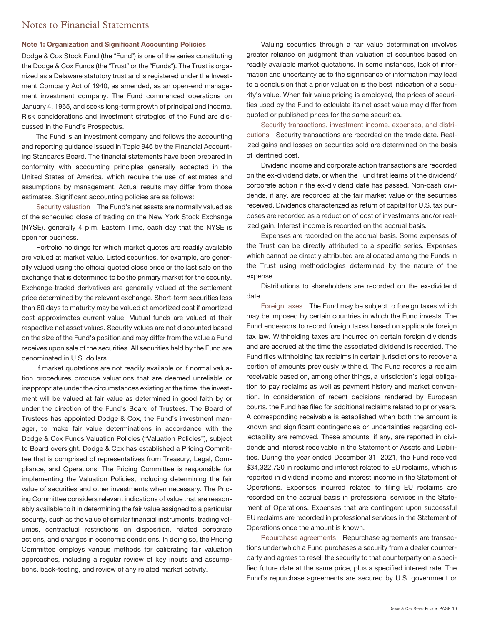## Notes to Financial Statements

### **Note 1: Organization and Significant Accounting Policies**

Dodge & Cox Stock Fund (the "Fund") is one of the series constituting the Dodge & Cox Funds (the "Trust" or the "Funds"). The Trust is organized as a Delaware statutory trust and is registered under the Investment Company Act of 1940, as amended, as an open-end management investment company. The Fund commenced operations on January 4, 1965, and seeks long-term growth of principal and income. Risk considerations and investment strategies of the Fund are discussed in the Fund's Prospectus.

The Fund is an investment company and follows the accounting and reporting guidance issued in Topic 946 by the Financial Accounting Standards Board. The financial statements have been prepared in conformity with accounting principles generally accepted in the United States of America, which require the use of estimates and assumptions by management. Actual results may differ from those estimates. Significant accounting policies are as follows:

Security valuation The Fund's net assets are normally valued as of the scheduled close of trading on the New York Stock Exchange (NYSE), generally 4 p.m. Eastern Time, each day that the NYSE is open for business.

Portfolio holdings for which market quotes are readily available are valued at market value. Listed securities, for example, are generally valued using the official quoted close price or the last sale on the exchange that is determined to be the primary market for the security. Exchange-traded derivatives are generally valued at the settlement price determined by the relevant exchange. Short-term securities less than 60 days to maturity may be valued at amortized cost if amortized cost approximates current value. Mutual funds are valued at their respective net asset values. Security values are not discounted based on the size of the Fund's position and may differ from the value a Fund receives upon sale of the securities. All securities held by the Fund are denominated in U.S. dollars.

If market quotations are not readily available or if normal valuation procedures produce valuations that are deemed unreliable or inappropriate under the circumstances existing at the time, the investment will be valued at fair value as determined in good faith by or under the direction of the Fund's Board of Trustees. The Board of Trustees has appointed Dodge & Cox, the Fund's investment manager, to make fair value determinations in accordance with the Dodge & Cox Funds Valuation Policies ("Valuation Policies"), subject to Board oversight. Dodge & Cox has established a Pricing Committee that is comprised of representatives from Treasury, Legal, Compliance, and Operations. The Pricing Committee is responsible for implementing the Valuation Policies, including determining the fair value of securities and other investments when necessary. The Pricing Committee considers relevant indications of value that are reasonably available to it in determining the fair value assigned to a particular security, such as the value of similar financial instruments, trading volumes, contractual restrictions on disposition, related corporate actions, and changes in economic conditions. In doing so, the Pricing Committee employs various methods for calibrating fair valuation approaches, including a regular review of key inputs and assumptions, back-testing, and review of any related market activity.

Valuing securities through a fair value determination involves greater reliance on judgment than valuation of securities based on readily available market quotations. In some instances, lack of information and uncertainty as to the significance of information may lead to a conclusion that a prior valuation is the best indication of a security's value. When fair value pricing is employed, the prices of securities used by the Fund to calculate its net asset value may differ from quoted or published prices for the same securities.

Security transactions, investment income, expenses, and distributions Security transactions are recorded on the trade date. Realized gains and losses on securities sold are determined on the basis of identified cost.

Dividend income and corporate action transactions are recorded on the ex-dividend date, or when the Fund first learns of the dividend/ corporate action if the ex-dividend date has passed. Non-cash dividends, if any, are recorded at the fair market value of the securities received. Dividends characterized as return of capital for U.S. tax purposes are recorded as a reduction of cost of investments and/or realized gain. Interest income is recorded on the accrual basis.

Expenses are recorded on the accrual basis. Some expenses of the Trust can be directly attributed to a specific series. Expenses which cannot be directly attributed are allocated among the Funds in the Trust using methodologies determined by the nature of the expense.

Distributions to shareholders are recorded on the ex-dividend date.

Foreign taxes The Fund may be subject to foreign taxes which may be imposed by certain countries in which the Fund invests. The Fund endeavors to record foreign taxes based on applicable foreign tax law. Withholding taxes are incurred on certain foreign dividends and are accrued at the time the associated dividend is recorded. The Fund files withholding tax reclaims in certain jurisdictions to recover a portion of amounts previously withheld. The Fund records a reclaim receivable based on, among other things, a jurisdiction's legal obligation to pay reclaims as well as payment history and market convention. In consideration of recent decisions rendered by European courts, the Fund has filed for additional reclaims related to prior years. A corresponding receivable is established when both the amount is known and significant contingencies or uncertainties regarding collectability are removed. These amounts, if any, are reported in dividends and interest receivable in the Statement of Assets and Liabilities. During the year ended December 31, 2021, the Fund received \$34,322,720 in reclaims and interest related to EU reclaims, which is reported in dividend income and interest income in the Statement of Operations. Expenses incurred related to filing EU reclaims are recorded on the accrual basis in professional services in the Statement of Operations. Expenses that are contingent upon successful EU reclaims are recorded in professional services in the Statement of Operations once the amount is known.

Repurchase agreements Repurchase agreements are transactions under which a Fund purchases a security from a dealer counterparty and agrees to resell the security to that counterparty on a specified future date at the same price, plus a specified interest rate. The Fund's repurchase agreements are secured by U.S. government or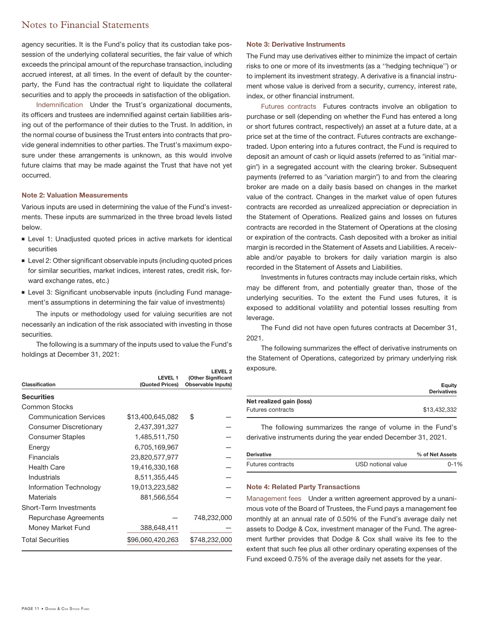## Notes to Financial Statements

agency securities. It is the Fund's policy that its custodian take possession of the underlying collateral securities, the fair value of which exceeds the principal amount of the repurchase transaction, including accrued interest, at all times. In the event of default by the counterparty, the Fund has the contractual right to liquidate the collateral securities and to apply the proceeds in satisfaction of the obligation.

Indemnification Under the Trust's organizational documents, its officers and trustees are indemnified against certain liabilities arising out of the performance of their duties to the Trust. In addition, in the normal course of business the Trust enters into contracts that provide general indemnities to other parties. The Trust's maximum exposure under these arrangements is unknown, as this would involve future claims that may be made against the Trust that have not yet occurred.

#### **Note 2: Valuation Measurements**

Various inputs are used in determining the value of the Fund's investments. These inputs are summarized in the three broad levels listed below.

- **Example 1: Unadjusted quoted prices in active markets for identical** securities
- **Level 2: Other significant observable inputs (including quoted prices** for similar securities, market indices, interest rates, credit risk, forward exchange rates, etc.)
- **Level 3: Significant unobservable inputs (including Fund manage**ment's assumptions in determining the fair value of investments)

The inputs or methodology used for valuing securities are not necessarily an indication of the risk associated with investing in those securities.

The following is a summary of the inputs used to value the Fund's holdings at December 31, 2021:

| Classification                | LEVEL 1<br>(Quoted Prices) | LEVEL 2<br>(Other Significant<br>Observable Inputs) |
|-------------------------------|----------------------------|-----------------------------------------------------|
| <b>Securities</b>             |                            |                                                     |
| Common Stocks                 |                            |                                                     |
| <b>Communication Services</b> | \$13,400,645,082           | \$                                                  |
| <b>Consumer Discretionary</b> | 2,437,391,327              |                                                     |
| <b>Consumer Staples</b>       | 1,485,511,750              |                                                     |
| Energy                        | 6,705,169,967              |                                                     |
| <b>Financials</b>             | 23,820,577,977             |                                                     |
| <b>Health Care</b>            | 19,416,330,168             |                                                     |
| Industrials                   | 8,511,355,445              |                                                     |
| Information Technology        | 19,013,223,582             |                                                     |
| Materials                     | 881,566,554                |                                                     |
| Short-Term Investments        |                            |                                                     |
| Repurchase Agreements         |                            | 748,232,000                                         |
| Money Market Fund             | 388,648,411                |                                                     |
| <b>Total Securities</b>       | \$96,060,420,263           | \$748,232,000                                       |

## **Note 3: Derivative Instruments**

The Fund may use derivatives either to minimize the impact of certain risks to one or more of its investments (as a ''hedging technique'') or to implement its investment strategy. A derivative is a financial instrument whose value is derived from a security, currency, interest rate, index, or other financial instrument.

Futures contracts Futures contracts involve an obligation to purchase or sell (depending on whether the Fund has entered a long or short futures contract, respectively) an asset at a future date, at a price set at the time of the contract. Futures contracts are exchangetraded. Upon entering into a futures contract, the Fund is required to deposit an amount of cash or liquid assets (referred to as "initial margin") in a segregated account with the clearing broker. Subsequent payments (referred to as "variation margin") to and from the clearing broker are made on a daily basis based on changes in the market value of the contract. Changes in the market value of open futures contracts are recorded as unrealized appreciation or depreciation in the Statement of Operations. Realized gains and losses on futures contracts are recorded in the Statement of Operations at the closing or expiration of the contracts. Cash deposited with a broker as initial margin is recorded in the Statement of Assets and Liabilities. A receivable and/or payable to brokers for daily variation margin is also recorded in the Statement of Assets and Liabilities.

Investments in futures contracts may include certain risks, which may be different from, and potentially greater than, those of the underlying securities. To the extent the Fund uses futures, it is exposed to additional volatility and potential losses resulting from leverage.

The Fund did not have open futures contracts at December 31, 2021.

The following summarizes the effect of derivative instruments on the Statement of Operations, categorized by primary underlying risk exposure.

|                          | Equity<br><b>Derivatives</b> |
|--------------------------|------------------------------|
| Net realized gain (loss) |                              |
| Futures contracts        | \$13,432,332                 |

The following summarizes the range of volume in the Fund's derivative instruments during the year ended December 31, 2021.

| <b>Derivative</b>        |                    | % of Net Assets |  |
|--------------------------|--------------------|-----------------|--|
| <b>Futures contracts</b> | USD notional value | $0 - 1\%$       |  |

#### **Note 4: Related Party Transactions**

Management fees Under a written agreement approved by a unanimous vote of the Board of Trustees, the Fund pays a management fee monthly at an annual rate of 0.50% of the Fund's average daily net assets to Dodge & Cox, investment manager of the Fund. The agreement further provides that Dodge & Cox shall waive its fee to the extent that such fee plus all other ordinary operating expenses of the Fund exceed 0.75% of the average daily net assets for the year.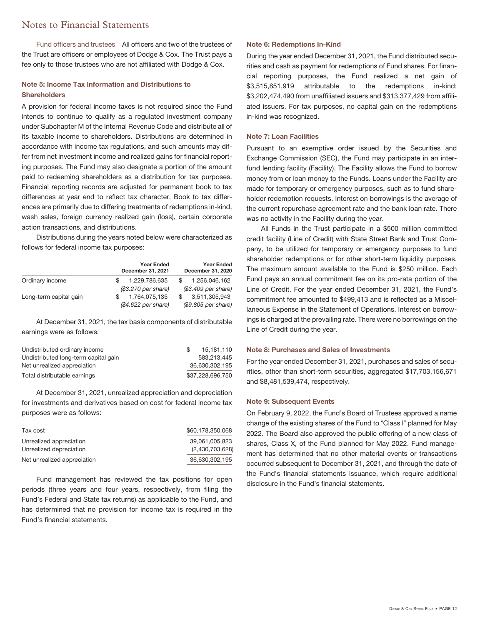## Notes to Financial Statements

Fund officers and trustees All officers and two of the trustees of the Trust are officers or employees of Dodge & Cox. The Trust pays a fee only to those trustees who are not affiliated with Dodge & Cox.

## **Note 5: Income Tax Information and Distributions to Shareholders**

A provision for federal income taxes is not required since the Fund intends to continue to qualify as a regulated investment company under Subchapter M of the Internal Revenue Code and distribute all of its taxable income to shareholders. Distributions are determined in accordance with income tax regulations, and such amounts may differ from net investment income and realized gains for financial reporting purposes. The Fund may also designate a portion of the amount paid to redeeming shareholders as a distribution for tax purposes. Financial reporting records are adjusted for permanent book to tax differences at year end to reflect tax character. Book to tax differences are primarily due to differing treatments of redemptions in-kind, wash sales, foreign currency realized gain (loss), certain corporate action transactions, and distributions.

Distributions during the years noted below were characterized as follows for federal income tax purposes:

|                        | <b>Year Ended</b><br>December 31, 2021 | <b>Year Ended</b><br>December 31, 2020 |
|------------------------|----------------------------------------|----------------------------------------|
| Ordinary income        | 1,229,786,635                          | 1,256,046,162                          |
|                        | (\$3.270 per share)                    | $($3.409$ per share)                   |
| Long-term capital gain | 1,764,075,135                          | 3,511,305,943                          |
|                        | $($4.622$ per share)                   | (\$9.805 per share)                    |

At December 31, 2021, the tax basis components of distributable earnings were as follows:

| Undistributed ordinary income        | 15,181,110       |
|--------------------------------------|------------------|
| Undistributed long-term capital gain | 583.213.445      |
| Net unrealized appreciation          | 36,630,302,195   |
| Total distributable earnings         | \$37,228,696,750 |

At December 31, 2021, unrealized appreciation and depreciation for investments and derivatives based on cost for federal income tax purposes were as follows:

| Tax cost                    | \$60,178,350,068 |
|-----------------------------|------------------|
| Unrealized appreciation     | 39.061.005.823   |
| Unrealized depreciation     | (2,430,703,628)  |
| Net unrealized appreciation | 36,630,302,195   |

Fund management has reviewed the tax positions for open periods (three years and four years, respectively, from filing the Fund's Federal and State tax returns) as applicable to the Fund, and has determined that no provision for income tax is required in the Fund's financial statements.

## **Note 6: Redemptions In-Kind**

During the year ended December 31, 2021, the Fund distributed securities and cash as payment for redemptions of Fund shares. For financial reporting purposes, the Fund realized a net gain of \$3,515,851,919 attributable to the redemptions in-kind: \$3,202,474,490 from unaffiliated issuers and \$313,377,429 from affiliated issuers. For tax purposes, no capital gain on the redemptions in-kind was recognized.

## **Note 7: Loan Facilities**

Pursuant to an exemptive order issued by the Securities and Exchange Commission (SEC), the Fund may participate in an interfund lending facility (Facility). The Facility allows the Fund to borrow money from or loan money to the Funds. Loans under the Facility are made for temporary or emergency purposes, such as to fund shareholder redemption requests. Interest on borrowings is the average of the current repurchase agreement rate and the bank loan rate. There was no activity in the Facility during the year.

All Funds in the Trust participate in a \$500 million committed credit facility (Line of Credit) with State Street Bank and Trust Company, to be utilized for temporary or emergency purposes to fund shareholder redemptions or for other short-term liquidity purposes. The maximum amount available to the Fund is \$250 million. Each Fund pays an annual commitment fee on its pro-rata portion of the Line of Credit. For the year ended December 31, 2021, the Fund's commitment fee amounted to \$499,413 and is reflected as a Miscellaneous Expense in the Statement of Operations. Interest on borrowings is charged at the prevailing rate. There were no borrowings on the Line of Credit during the year.

## **Note 8: Purchases and Sales of Investments**

For the year ended December 31, 2021, purchases and sales of securities, other than short-term securities, aggregated \$17,703,156,671 and \$8,481,539,474, respectively.

#### **Note 9: Subsequent Events**

On February 9, 2022, the Fund's Board of Trustees approved a name change of the existing shares of the Fund to "Class I" planned for May 2022. The Board also approved the public offering of a new class of shares, Class X, of the Fund planned for May 2022. Fund management has determined that no other material events or transactions occurred subsequent to December 31, 2021, and through the date of the Fund's financial statements issuance, which require additional disclosure in the Fund's financial statements.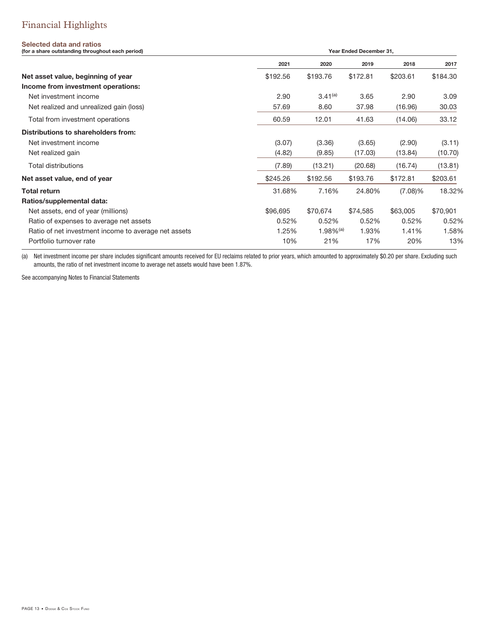## Financial Highlights

## **Selected data and ratios (for a share outstanding throughout each period) Year Ended December 31, 2021 2020 2019 2018 2017 Net asset value, beginning of year Net asset value, beginning of year \$192.56** \$192.56 \$193.76 \$172.81 \$203.61 \$184.30 **Income from investment operations:** Net investment income 2.90 3.09 3.65 2.90 3.09 Net realized and unrealized gain (loss) 57.69 8.60 37.98 (16.96) 30.03 Total from investment operations 60.59 12.01 41.63 (14.06) 33.12 **Distributions to shareholders from:** Net investment income (3.07) (3.36) (3.65) (2.90) (3.11) Net realized gain the contract of the contract of the contract of the contract of the contract of the contract of the contract of the contract of the contract of the contract of the contract of the contract of the contract Total distributions (7.89) (13.21) (20.68) (16.74) (13.81) **Net asset value, end of year by a set of year \$245.26** \$192.56 \$192.56 \$193.76 \$172.81 \$203.61 **Total return** 31.68% 7.16% 24.80% (7.08)% 18.32% **Ratios/supplemental data:** Net assets, end of year (millions)  $$96,695$  \$70,674 \$74,585 \$63,005 \$70,901 Ratio of expenses to average net assets  $0.52\%$  0.52% 0.52% 0.52% 0.52% 0.52% 0.52% Ratio of net investment income to average net assets 1.25% 1.98% 1.98%<sup>(a)</sup> 1.93% 1.41% 1.58% Portfolio turnover rate 10% 17% 17% 20% 17% 17% 20% 13%

(a) Net investment income per share includes significant amounts received for EU reclaims related to prior years, which amounted to approximately \$0.20 per share. Excluding such amounts, the ratio of net investment income to average net assets would have been 1.87%.

See accompanying Notes to Financial Statements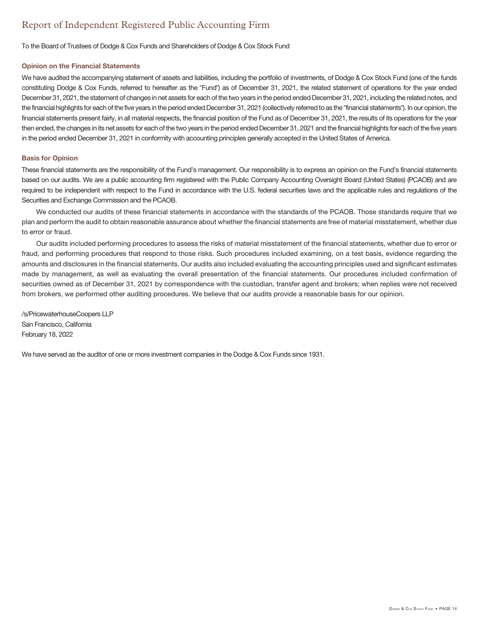## Report of Independent Registered Public Accounting Firm

To the Board of Trustees of Dodge & Cox Funds and Shareholders of Dodge & Cox Stock Fund

## **Opinion on the Financial Statements**

We have audited the accompanying statement of assets and liabilities, including the portfolio of investments, of Dodge & Cox Stock Fund (one of the funds constituting Dodge & Cox Funds, referred to hereafter as the "Fund") as of December 31, 2021, the related statement of operations for the year ended December 31, 2021, the statement of changes in net assets for each of the two years in the period ended December 31, 2021, including the related notes, and the financial highlights for each of the five years in the period ended December 31, 2021 (collectively referred to as the "financial statements"). In our opinion, the financial statements present fairly, in all material respects, the financial position of the Fund as of December 31, 2021, the results of its operations for the year then ended, the changes in its net assets for each of the two years in the period ended December 31, 2021 and the financial highlights for each of the five years in the period ended December 31, 2021 in conformity with accounting principles generally accepted in the United States of America.

### **Basis for Opinion**

These financial statements are the responsibility of the Fund's management. Our responsibility is to express an opinion on the Fund's financial statements based on our audits. We are a public accounting firm registered with the Public Company Accounting Oversight Board (United States) (PCAOB) and are required to be independent with respect to the Fund in accordance with the U.S. federal securities laws and the applicable rules and regulations of the Securities and Exchange Commission and the PCAOB.

We conducted our audits of these financial statements in accordance with the standards of the PCAOB. Those standards require that we plan and perform the audit to obtain reasonable assurance about whether the financial statements are free of material misstatement, whether due to error or fraud.

Our audits included performing procedures to assess the risks of material misstatement of the financial statements, whether due to error or fraud, and performing procedures that respond to those risks. Such procedures included examining, on a test basis, evidence regarding the amounts and disclosures in the financial statements. Our audits also included evaluating the accounting principles used and significant estimates made by management, as well as evaluating the overall presentation of the financial statements. Our procedures included confirmation of securities owned as of December 31, 2021 by correspondence with the custodian, transfer agent and brokers; when replies were not received from brokers, we performed other auditing procedures. We believe that our audits provide a reasonable basis for our opinion.

/s/PricewaterhouseCoopers LLP San Francisco, California February 18, 2022

We have served as the auditor of one or more investment companies in the Dodge & Cox Funds since 1931.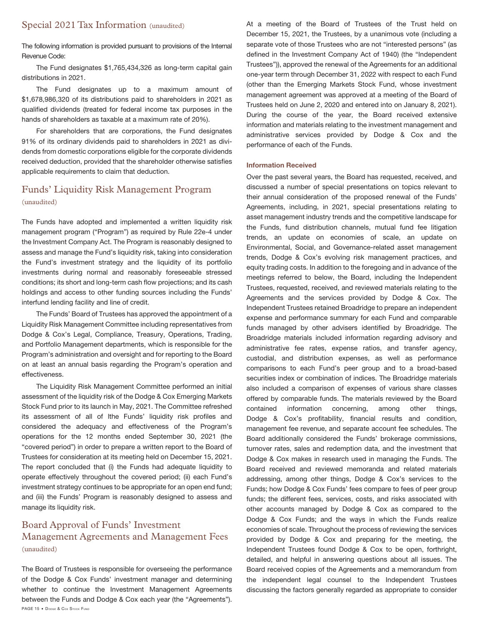## Special 2021 Tax Information (unaudited)

The following information is provided pursuant to provisions of the Internal Revenue Code:

The Fund designates \$1,765,434,326 as long-term capital gain distributions in 2021.

The Fund designates up to a maximum amount of \$1,678,986,320 of its distributions paid to shareholders in 2021 as qualified dividends (treated for federal income tax purposes in the hands of shareholders as taxable at a maximum rate of 20%).

For shareholders that are corporations, the Fund designates 91% of its ordinary dividends paid to shareholders in 2021 as dividends from domestic corporations eligible for the corporate dividends received deduction, provided that the shareholder otherwise satisfies applicable requirements to claim that deduction.

## Funds' Liquidity Risk Management Program (unaudited)

The Funds have adopted and implemented a written liquidity risk management program ("Program") as required by Rule 22e-4 under the Investment Company Act. The Program is reasonably designed to assess and manage the Fund's liquidity risk, taking into consideration the Fund's investment strategy and the liquidity of its portfolio investments during normal and reasonably foreseeable stressed conditions; its short and long-term cash flow projections; and its cash holdings and access to other funding sources including the Funds' interfund lending facility and line of credit.

The Funds' Board of Trustees has approved the appointment of a Liquidity Risk Management Committee including representatives from Dodge & Cox's Legal, Compliance, Treasury, Operations, Trading, and Portfolio Management departments, which is responsible for the Program's administration and oversight and for reporting to the Board on at least an annual basis regarding the Program's operation and effectiveness.

The Liquidity Risk Management Committee performed an initial assessment of the liquidity risk of the Dodge & Cox Emerging Markets Stock Fund prior to its launch in May, 2021. The Committee refreshed its assessment of all of lthe Funds' liquidity risk profiles and considered the adequacy and effectiveness of the Program's operations for the 12 months ended September 30, 2021 (the "covered period") in order to prepare a written report to the Board of Trustees for consideration at its meeting held on December 15, 2021. The report concluded that (i) the Funds had adequate liquidity to operate effectively throughout the covered period; (ii) each Fund's investment strategy continues to be appropriate for an open end fund; and (iii) the Funds' Program is reasonably designed to assess and manage its liquidity risk.

## Board Approval of Funds' Investment Management Agreements and Management Fees (unaudited)

The Board of Trustees is responsible for overseeing the performance of the Dodge & Cox Funds' investment manager and determining whether to continue the Investment Management Agreements between the Funds and Dodge & Cox each year (the "Agreements"). PAGE 15 . DODGE & COX STOCK FUND

At a meeting of the Board of Trustees of the Trust held on December 15, 2021, the Trustees, by a unanimous vote (including a separate vote of those Trustees who are not "interested persons" (as defined in the Investment Company Act of 1940) (the "Independent Trustees")), approved the renewal of the Agreements for an additional one-year term through December 31, 2022 with respect to each Fund (other than the Emerging Markets Stock Fund, whose investment management agreement was approved at a meeting of the Board of Trustees held on June 2, 2020 and entered into on January 8, 2021). During the course of the year, the Board received extensive information and materials relating to the investment management and administrative services provided by Dodge & Cox and the performance of each of the Funds.

## **Information Received**

Over the past several years, the Board has requested, received, and discussed a number of special presentations on topics relevant to their annual consideration of the proposed renewal of the Funds' Agreements, including, in 2021, special presentations relating to asset management industry trends and the competitive landscape for the Funds, fund distribution channels, mutual fund fee litigation trends, an update on economies of scale, an update on Environmental, Social, and Governance-related asset management trends, Dodge & Cox's evolving risk management practices, and equity trading costs. In addition to the foregoing and in advance of the meetings referred to below, the Board, including the Independent Trustees, requested, received, and reviewed materials relating to the Agreements and the services provided by Dodge & Cox. The Independent Trustees retained Broadridge to prepare an independent expense and performance summary for each Fund and comparable funds managed by other advisers identified by Broadridge. The Broadridge materials included information regarding advisory and administrative fee rates, expense ratios, and transfer agency, custodial, and distribution expenses, as well as performance comparisons to each Fund's peer group and to a broad-based securities index or combination of indices. The Broadridge materials also included a comparison of expenses of various share classes offered by comparable funds. The materials reviewed by the Board contained information concerning, among other things, Dodge & Cox's profitability, financial results and condition, management fee revenue, and separate account fee schedules. The Board additionally considered the Funds' brokerage commissions, turnover rates, sales and redemption data, and the investment that Dodge & Cox makes in research used in managing the Funds. The Board received and reviewed memoranda and related materials addressing, among other things, Dodge & Cox's services to the Funds; how Dodge & Cox Funds' fees compare to fees of peer group funds; the different fees, services, costs, and risks associated with other accounts managed by Dodge & Cox as compared to the Dodge & Cox Funds; and the ways in which the Funds realize economies of scale. Throughout the process of reviewing the services provided by Dodge & Cox and preparing for the meeting, the Independent Trustees found Dodge & Cox to be open, forthright, detailed, and helpful in answering questions about all issues. The Board received copies of the Agreements and a memorandum from the independent legal counsel to the Independent Trustees discussing the factors generally regarded as appropriate to consider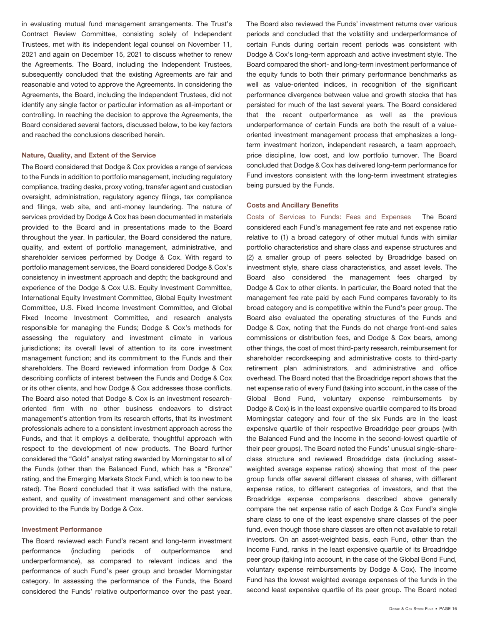in evaluating mutual fund management arrangements. The Trust's Contract Review Committee, consisting solely of Independent Trustees, met with its independent legal counsel on November 11, 2021 and again on December 15, 2021 to discuss whether to renew the Agreements. The Board, including the Independent Trustees, subsequently concluded that the existing Agreements are fair and reasonable and voted to approve the Agreements. In considering the Agreements, the Board, including the Independent Trustees, did not identify any single factor or particular information as all-important or controlling. In reaching the decision to approve the Agreements, the Board considered several factors, discussed below, to be key factors and reached the conclusions described herein.

#### **Nature, Quality, and Extent of the Service**

The Board considered that Dodge & Cox provides a range of services to the Funds in addition to portfolio management, including regulatory compliance, trading desks, proxy voting, transfer agent and custodian oversight, administration, regulatory agency filings, tax compliance and filings, web site, and anti-money laundering. The nature of services provided by Dodge & Cox has been documented in materials provided to the Board and in presentations made to the Board throughout the year. In particular, the Board considered the nature, quality, and extent of portfolio management, administrative, and shareholder services performed by Dodge & Cox. With regard to portfolio management services, the Board considered Dodge & Cox's consistency in investment approach and depth; the background and experience of the Dodge & Cox U.S. Equity Investment Committee, International Equity Investment Committee, Global Equity Investment Committee, U.S. Fixed Income Investment Committee, and Global Fixed Income Investment Committee, and research analysts responsible for managing the Funds; Dodge & Cox's methods for assessing the regulatory and investment climate in various jurisdictions; its overall level of attention to its core investment management function; and its commitment to the Funds and their shareholders. The Board reviewed information from Dodge & Cox describing conflicts of interest between the Funds and Dodge & Cox or its other clients, and how Dodge & Cox addresses those conflicts. The Board also noted that Dodge & Cox is an investment researchoriented firm with no other business endeavors to distract management's attention from its research efforts, that its investment professionals adhere to a consistent investment approach across the Funds, and that it employs a deliberate, thoughtful approach with respect to the development of new products. The Board further considered the "Gold" analyst rating awarded by Morningstar to all of the Funds (other than the Balanced Fund, which has a "Bronze" rating, and the Emerging Markets Stock Fund, which is too new to be rated). The Board concluded that it was satisfied with the nature, extent, and quality of investment management and other services provided to the Funds by Dodge & Cox.

#### **Investment Performance**

The Board reviewed each Fund's recent and long-term investment performance (including periods of outperformance and underperformance), as compared to relevant indices and the performance of such Fund's peer group and broader Morningstar category. In assessing the performance of the Funds, the Board considered the Funds' relative outperformance over the past year. The Board also reviewed the Funds' investment returns over various periods and concluded that the volatility and underperformance of certain Funds during certain recent periods was consistent with Dodge & Cox's long-term approach and active investment style. The Board compared the short- and long-term investment performance of the equity funds to both their primary performance benchmarks as well as value-oriented indices, in recognition of the significant performance divergence between value and growth stocks that has persisted for much of the last several years. The Board considered that the recent outperformance as well as the previous underperformance of certain Funds are both the result of a valueoriented investment management process that emphasizes a longterm investment horizon, independent research, a team approach, price discipline, low cost, and low portfolio turnover. The Board concluded that Dodge & Cox has delivered long-term performance for Fund investors consistent with the long-term investment strategies being pursued by the Funds.

#### **Costs and Ancillary Benefits**

Costs of Services to Funds: Fees and Expenses The Board considered each Fund's management fee rate and net expense ratio relative to (1) a broad category of other mutual funds with similar portfolio characteristics and share class and expense structures and (2) a smaller group of peers selected by Broadridge based on investment style, share class characteristics, and asset levels. The Board also considered the management fees charged by Dodge & Cox to other clients. In particular, the Board noted that the management fee rate paid by each Fund compares favorably to its broad category and is competitive within the Fund's peer group. The Board also evaluated the operating structures of the Funds and Dodge & Cox, noting that the Funds do not charge front-end sales commissions or distribution fees, and Dodge & Cox bears, among other things, the cost of most third-party research, reimbursement for shareholder recordkeeping and administrative costs to third-party retirement plan administrators, and administrative and office overhead. The Board noted that the Broadridge report shows that the net expense ratio of every Fund (taking into account, in the case of the Global Bond Fund, voluntary expense reimbursements by Dodge & Cox) is in the least expensive quartile compared to its broad Morningstar category and four of the six Funds are in the least expensive quartile of their respective Broadridge peer groups (with the Balanced Fund and the Income in the second-lowest quartile of their peer groups). The Board noted the Funds' unusual single-shareclass structure and reviewed Broadridge data (including assetweighted average expense ratios) showing that most of the peer group funds offer several different classes of shares, with different expense ratios, to different categories of investors, and that the Broadridge expense comparisons described above generally compare the net expense ratio of each Dodge & Cox Fund's single share class to one of the least expensive share classes of the peer fund, even though those share classes are often not available to retail investors. On an asset-weighted basis, each Fund, other than the Income Fund, ranks in the least expensive quartile of its Broadridge peer group (taking into account, in the case of the Global Bond Fund, voluntary expense reimbursements by Dodge & Cox). The Income Fund has the lowest weighted average expenses of the funds in the second least expensive quartile of its peer group. The Board noted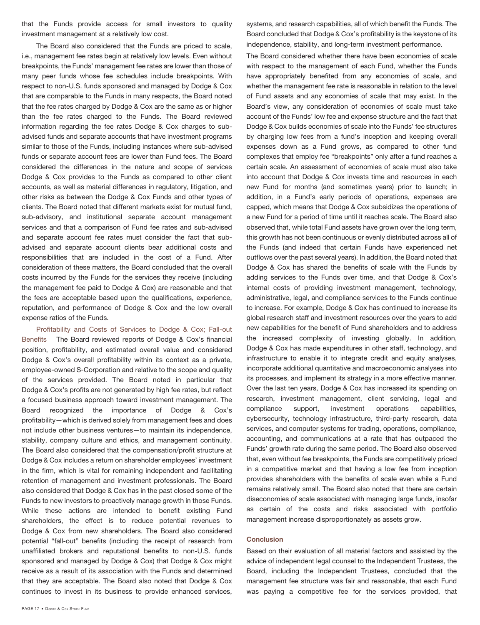that the Funds provide access for small investors to quality investment management at a relatively low cost.

The Board also considered that the Funds are priced to scale, i.e., management fee rates begin at relatively low levels. Even without breakpoints, the Funds' management fee rates are lower than those of many peer funds whose fee schedules include breakpoints. With respect to non-U.S. funds sponsored and managed by Dodge & Cox that are comparable to the Funds in many respects, the Board noted that the fee rates charged by Dodge & Cox are the same as or higher than the fee rates charged to the Funds. The Board reviewed information regarding the fee rates Dodge & Cox charges to subadvised funds and separate accounts that have investment programs similar to those of the Funds, including instances where sub-advised funds or separate account fees are lower than Fund fees. The Board considered the differences in the nature and scope of services Dodge & Cox provides to the Funds as compared to other client accounts, as well as material differences in regulatory, litigation, and other risks as between the Dodge & Cox Funds and other types of clients. The Board noted that different markets exist for mutual fund, sub-advisory, and institutional separate account management services and that a comparison of Fund fee rates and sub-advised and separate account fee rates must consider the fact that subadvised and separate account clients bear additional costs and responsibilities that are included in the cost of a Fund. After consideration of these matters, the Board concluded that the overall costs incurred by the Funds for the services they receive (including the management fee paid to Dodge & Cox) are reasonable and that the fees are acceptable based upon the qualifications, experience, reputation, and performance of Dodge & Cox and the low overall expense ratios of the Funds.

Profitability and Costs of Services to Dodge & Cox; Fall-out Benefits The Board reviewed reports of Dodge & Cox's financial position, profitability, and estimated overall value and considered Dodge & Cox's overall profitability within its context as a private, employee-owned S-Corporation and relative to the scope and quality of the services provided. The Board noted in particular that Dodge & Cox's profits are not generated by high fee rates, but reflect a focused business approach toward investment management. The Board recognized the importance of Dodge & Cox's profitability—which is derived solely from management fees and does not include other business ventures—to maintain its independence, stability, company culture and ethics, and management continuity. The Board also considered that the compensation/profit structure at Dodge & Cox includes a return on shareholder employees' investment in the firm, which is vital for remaining independent and facilitating retention of management and investment professionals. The Board also considered that Dodge & Cox has in the past closed some of the Funds to new investors to proactively manage growth in those Funds. While these actions are intended to benefit existing Fund shareholders, the effect is to reduce potential revenues to Dodge & Cox from new shareholders. The Board also considered potential "fall-out" benefits (including the receipt of research from unaffiliated brokers and reputational benefits to non-U.S. funds sponsored and managed by Dodge & Cox) that Dodge & Cox might receive as a result of its association with the Funds and determined that they are acceptable. The Board also noted that Dodge & Cox continues to invest in its business to provide enhanced services,

systems, and research capabilities, all of which benefit the Funds. The Board concluded that Dodge & Cox's profitability is the keystone of its independence, stability, and long-term investment performance.

The Board considered whether there have been economies of scale with respect to the management of each Fund, whether the Funds have appropriately benefited from any economies of scale, and whether the management fee rate is reasonable in relation to the level of Fund assets and any economies of scale that may exist. In the Board's view, any consideration of economies of scale must take account of the Funds' low fee and expense structure and the fact that Dodge & Cox builds economies of scale into the Funds' fee structures by charging low fees from a fund's inception and keeping overall expenses down as a Fund grows, as compared to other fund complexes that employ fee "breakpoints" only after a fund reaches a certain scale. An assessment of economies of scale must also take into account that Dodge & Cox invests time and resources in each new Fund for months (and sometimes years) prior to launch; in addition, in a Fund's early periods of operations, expenses are capped, which means that Dodge & Cox subsidizes the operations of a new Fund for a period of time until it reaches scale. The Board also observed that, while total Fund assets have grown over the long term, this growth has not been continuous or evenly distributed across all of the Funds (and indeed that certain Funds have experienced net outflows over the past several years). In addition, the Board noted that Dodge & Cox has shared the benefits of scale with the Funds by adding services to the Funds over time, and that Dodge & Cox's internal costs of providing investment management, technology, administrative, legal, and compliance services to the Funds continue to increase. For example, Dodge & Cox has continued to increase its global research staff and investment resources over the years to add new capabilities for the benefit of Fund shareholders and to address the increased complexity of investing globally. In addition, Dodge & Cox has made expenditures in other staff, technology, and infrastructure to enable it to integrate credit and equity analyses, incorporate additional quantitative and macroeconomic analyses into its processes, and implement its strategy in a more effective manner. Over the last ten years, Dodge & Cox has increased its spending on research, investment management, client servicing, legal and compliance support, investment operations capabilities, cybersecurity, technology infrastructure, third-party research, data services, and computer systems for trading, operations, compliance, accounting, and communications at a rate that has outpaced the Funds' growth rate during the same period. The Board also observed that, even without fee breakpoints, the Funds are competitively priced in a competitive market and that having a low fee from inception provides shareholders with the benefits of scale even while a Fund remains relatively small. The Board also noted that there are certain diseconomies of scale associated with managing large funds, insofar as certain of the costs and risks associated with portfolio management increase disproportionately as assets grow.

## **Conclusion**

Based on their evaluation of all material factors and assisted by the advice of independent legal counsel to the Independent Trustees, the Board, including the Independent Trustees, concluded that the management fee structure was fair and reasonable, that each Fund was paying a competitive fee for the services provided, that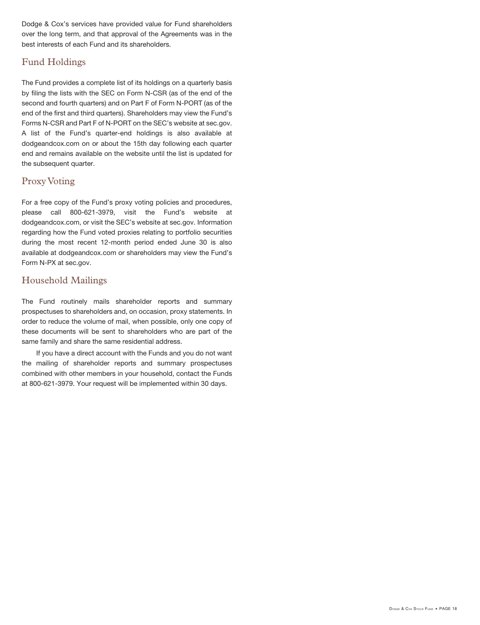Dodge & Cox's services have provided value for Fund shareholders over the long term, and that approval of the Agreements was in the best interests of each Fund and its shareholders.

## Fund Holdings

The Fund provides a complete list of its holdings on a quarterly basis by filing the lists with the SEC on Form N-CSR (as of the end of the second and fourth quarters) and on Part F of Form N-PORT (as of the end of the first and third quarters). Shareholders may view the Fund's Forms N-CSR and Part F of N-PORT on the SEC's website at sec.gov. A list of the Fund's quarter-end holdings is also available at dodgeandcox.com on or about the 15th day following each quarter end and remains available on the website until the list is updated for the subsequent quarter.

## Proxy Voting

For a free copy of the Fund's proxy voting policies and procedures, please call 800-621-3979, visit the Fund's website at dodgeandcox.com, or visit the SEC's website at sec.gov. Information regarding how the Fund voted proxies relating to portfolio securities during the most recent 12-month period ended June 30 is also available at dodgeandcox.com or shareholders may view the Fund's Form N-PX at sec.gov.

## Household Mailings

The Fund routinely mails shareholder reports and summary prospectuses to shareholders and, on occasion, proxy statements. In order to reduce the volume of mail, when possible, only one copy of these documents will be sent to shareholders who are part of the same family and share the same residential address.

If you have a direct account with the Funds and you do not want the mailing of shareholder reports and summary prospectuses combined with other members in your household, contact the Funds at 800-621-3979. Your request will be implemented within 30 days.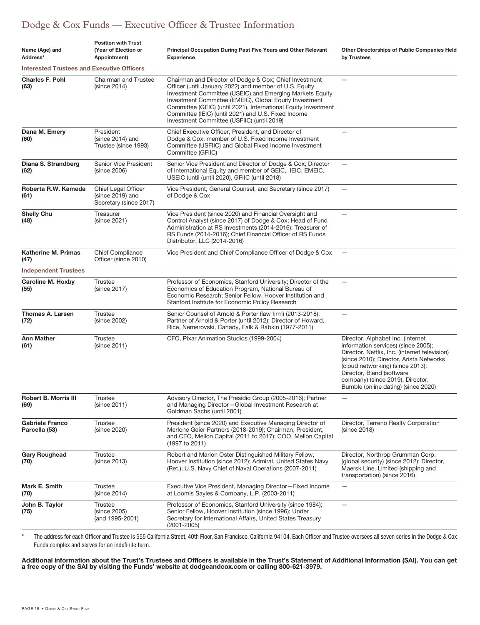## Dodge & Cox Funds — Executive Officer & Trustee Information

| Name (Age) and<br>Address*                        | <b>Position with Trust</b><br>(Year of Election or<br>Appointment) | Principal Occupation During Past Five Years and Other Relevant<br><b>Experience</b>                                                                                                                                                                                                                                                                                                                           | <b>Other Directorships of Public Companies Held</b><br>by Trustees                                                                                                                                                                                                                                               |
|---------------------------------------------------|--------------------------------------------------------------------|---------------------------------------------------------------------------------------------------------------------------------------------------------------------------------------------------------------------------------------------------------------------------------------------------------------------------------------------------------------------------------------------------------------|------------------------------------------------------------------------------------------------------------------------------------------------------------------------------------------------------------------------------------------------------------------------------------------------------------------|
| <b>Interested Trustees and Executive Officers</b> |                                                                    |                                                                                                                                                                                                                                                                                                                                                                                                               |                                                                                                                                                                                                                                                                                                                  |
| <b>Charles F. Pohl</b><br>(63)                    | <b>Chairman and Trustee</b><br>(since 2014)                        | Chairman and Director of Dodge & Cox; Chief Investment<br>Officer (until January 2022) and member of U.S. Equity<br>Investment Committee (USEIC) and Emerging Markets Equity<br>Investment Committee (EMEIC), Global Equity Investment<br>Committee (GEIC) (until 2021), International Equity Investment<br>Committee (IEIC) (until 2021) and U.S. Fixed Income<br>Investment Committee (USFIIC) (until 2019) |                                                                                                                                                                                                                                                                                                                  |
| Dana M. Emery<br>(60)                             | President<br>(since 2014) and<br>Trustee (since 1993)              | Chief Executive Officer, President, and Director of<br>Dodge & Cox; member of U.S. Fixed Income Investment<br>Committee (USFIIC) and Global Fixed Income Investment<br>Committee (GFIIC)                                                                                                                                                                                                                      |                                                                                                                                                                                                                                                                                                                  |
| Diana S. Strandberg<br>(62)                       | Senior Vice President<br>(since 2006)                              | Senior Vice President and Director of Dodge & Cox; Director<br>of International Equity and member of GEIC, IEIC, EMEIC,<br>USEIC (until (until 2020), GFIIC (until 2018)                                                                                                                                                                                                                                      | $\overline{\phantom{0}}$                                                                                                                                                                                                                                                                                         |
| Roberta R.W. Kameda<br>(61)                       | Chief Legal Officer<br>(since 2019) and<br>Secretary (since 2017)  | Vice President, General Counsel, and Secretary (since 2017)<br>of Dodge & Cox                                                                                                                                                                                                                                                                                                                                 |                                                                                                                                                                                                                                                                                                                  |
| <b>Shelly Chu</b><br>(48)                         | Treasurer<br>(since 2021)                                          | Vice President (since 2020) and Financial Oversight and<br>Control Analyst (since 2017) of Dodge & Cox; Head of Fund<br>Administration at RS Investments (2014-2016); Treasurer of<br>RS Funds (2014-2016); Chief Financial Officer of RS Funds<br>Distributor, LLC (2014-2016)                                                                                                                               |                                                                                                                                                                                                                                                                                                                  |
| <b>Katherine M. Primas</b><br>(47)                | <b>Chief Compliance</b><br>Officer (since 2010)                    | Vice President and Chief Compliance Officer of Dodge & Cox                                                                                                                                                                                                                                                                                                                                                    |                                                                                                                                                                                                                                                                                                                  |
| <b>Independent Trustees</b>                       |                                                                    |                                                                                                                                                                                                                                                                                                                                                                                                               |                                                                                                                                                                                                                                                                                                                  |
| Caroline M. Hoxby<br>(55)                         | Trustee<br>(since 2017)                                            | Professor of Economics, Stanford University; Director of the<br>Economics of Education Program, National Bureau of<br>Economic Research; Senior Fellow, Hoover Institution and<br>Stanford Institute for Economic Policy Research                                                                                                                                                                             |                                                                                                                                                                                                                                                                                                                  |
| <b>Thomas A. Larsen</b><br>(72)                   | <b>Trustee</b><br>(since 2002)                                     | Senior Counsel of Arnold & Porter (law firm) (2013-2018);<br>Partner of Arnold & Porter (until 2012); Director of Howard,<br>Rice, Nemerovski, Canady, Falk & Rabkin (1977-2011)                                                                                                                                                                                                                              |                                                                                                                                                                                                                                                                                                                  |
| <b>Ann Mather</b><br>(61)                         | Trustee<br>(since 2011)                                            | CFO, Pixar Animation Studios (1999-2004)                                                                                                                                                                                                                                                                                                                                                                      | Director, Alphabet Inc. (internet<br>information services) (since 2005);<br>Director, Netflix, Inc. (internet television)<br>(since 2010); Director, Arista Networks<br>(cloud networking) (since 2013);<br>Director, Blend (software<br>company) (since 2019), Director,<br>Bumble (online dating) (since 2020) |
| <b>Robert B. Morris III</b><br>(69)               | Trustee<br>(since 2011)                                            | Advisory Director, The Presidio Group (2005-2016); Partner<br>and Managing Director-Global Investment Research at<br>Goldman Sachs (until 2001)                                                                                                                                                                                                                                                               |                                                                                                                                                                                                                                                                                                                  |
| Gabriela Franco<br>Parcella (53)                  | Trustee<br>(since 2020)                                            | President (since 2020) and Executive Managing Director of<br>Merlone Geier Partners (2018-2019); Chairman, President,<br>and CEO, Mellon Capital (2011 to 2017); COO, Mellon Capital<br>(1997 to 2011)                                                                                                                                                                                                        | Director, Terreno Realty Corporation<br>(since 2018)                                                                                                                                                                                                                                                             |
| <b>Gary Roughead</b><br>(70)                      | Trustee<br>(since 2013)                                            | Robert and Marion Oster Distinguished Military Fellow,<br>Hoover Institution (since 2012); Admiral, United States Navy<br>(Ret.); U.S. Navy Chief of Naval Operations (2007-2011)                                                                                                                                                                                                                             | Director, Northrop Grumman Corp.<br>(global security) (since 2012); Director,<br>Maersk Line, Limited (shipping and<br>transportation) (since 2016)                                                                                                                                                              |
| Mark E. Smith<br>(70)                             | Trustee<br>(since 2014)                                            | Executive Vice President, Managing Director-Fixed Income<br>at Loomis Sayles & Company, L.P. (2003-2011)                                                                                                                                                                                                                                                                                                      |                                                                                                                                                                                                                                                                                                                  |
| John B. Taylor<br>(75)                            | Trustee<br>(since 2005)<br>(and 1995-2001)                         | Professor of Economics, Stanford University (since 1984);<br>Senior Fellow, Hoover Institution (since 1996); Under<br>Secretary for International Affairs, United States Treasury<br>$(2001 - 2005)$                                                                                                                                                                                                          |                                                                                                                                                                                                                                                                                                                  |

\* The address for each Officer and Trustee is 555 California Street, 40th Floor, San Francisco, California 94104. Each Officer and Trustee oversees all seven series in the Dodge & Cox Funds complex and serves for an indefinite term.

Additional information about the Trust's Trustees and Officers is available in the Trust's Statement of Additional Information (SAI). You can get<br>a free copy of the SAI by visiting the Funds' website at dodgeandcox.com or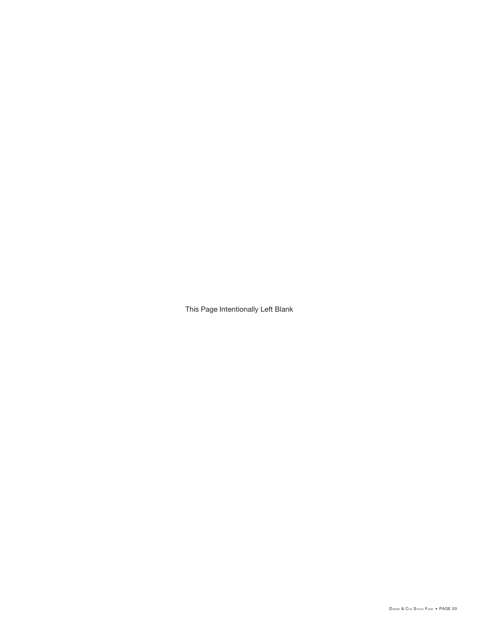This Page Intentionally Left Blank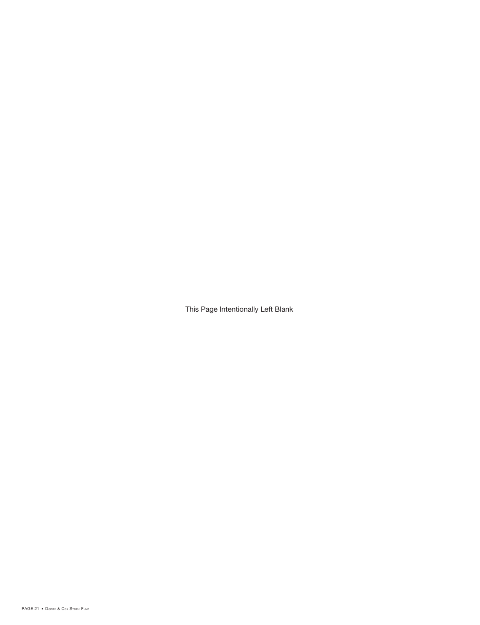This Page Intentionally Left Blank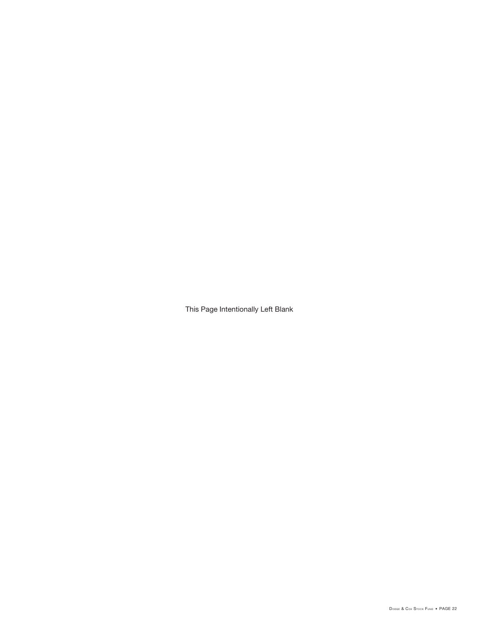This Page Intentionally Left Blank